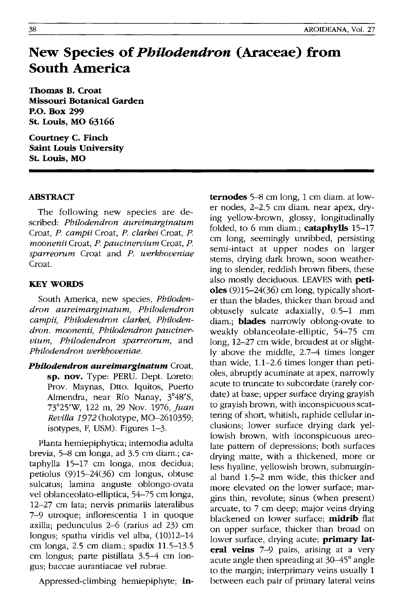# **New Species of** *Philodendron* **(Araceae) from South America**

Thomas B. Croat Missouri Botanical Garden P.o. Box 299 St. Louis, MO 63166

Courtney C. Finch Saint Louis University St. Louis, MO

### ABSTRACT

The following new species are described: *Philodendron aureimarginatum*  Croat, *P. campii* Croat, *P. clarkei* Croat, *P. moonenii* Croat, *P. paucinervium* Croat, *P. sparreorum* Croat and *P. werkhoveniae*  Croat.

## **KEY WORDS**

South America, new species, *Philodendron aureimarginatum, Philodendron campii, Philodendron clarkei, Philodendron. moonenii, Philodendron paucinervium, Philodendron sparreorum,* and *Philodendron werkhoveniae.* 

*Philodendron aureimarginatum* Croat, sp. nov. Type: PERU. Dept. Loreto: Prov. Maynas, Dtto. Iquitos, Puerto Almendra, near Rio Nanay, 3°48'S, 73°25'W, 122 m, 29 Nov. 1976, *Juan Revilla* 1972 (holotype, MO-2610359; isotypes, F, USM). Figures 1-3.

Planta hemiepiphytica; internodia adulta brevia, 5-8 cm longa, ad 3.5 cm diam.; cataphylla 15-17 cm longa, mox decidua; petiolus (9)15-24(36) cm longus, obtuse sulcatus; lamina anguste oblongo-ovata vel oblanceolato-elliptica, 54-75 cm longa, 12-27 cm lata; nervis primariis lateralibus 7-9 utroque; inflorescentia 1 in quoque axilla; pedunculus 2-6 (rarius ad 23) cm longus; spatha viridis vel alba, (10)12-14 cm longa, 2.5 cm diam.; spadix 11.5-13.5 cm longus; parte pistillata 3.5-4 cm longus; baccae aurantiacae vel rubrae.

Appressed-climbing hemiepiphyte; in-

ternodes 5-8 cm long, 1 cm diam. at lower nodes, 2-2.5 cm diam. near apex, drying yellow-brown, glossy, longitudinally folded, to 6 mm diam.; cataphylls 15-17 cm long, seemingly unribbed, persisting semi-intact at upper nodes on larger stems, drying dark brown, soon weathering to slender, reddish brown fibers, these also mostly deciduous. LEAVES with petioles (9)15-24(36) cm long, typically shorter than the blades, thicker than broad and obtusely sulcate adaxially, 0.5-1 mm diam.; **blades** narrowly oblong-ovate to weakly oblanceolate-elliptic, 54-75 cm long, 12-27 cm wide, broadest at or slightly above the middle, 2.7-4 times longer than wide, 1.1-2.6 times longer than petioles, abruptly acuminate at apex, narrowly acute to truncate to subcordate (rarely cordate) at base; upper surface drying grayish to grayish brown, with inconspicuous scattering of short, whitish, raphide cellular inclusions; lower surface drying dark yellowish brown, with inconspicuous areolate pattern of depressions; both surfaces drying matte, with a thickened, more or less hyaline, yellowish brown, submarginal band 1.5-2 mm wide, this thicker and more elevated on the lower surface; margins thin, revolute; sinus (when present) arcuate, to 7 cm deep; major veins drying blackened on lower surface; midrib flat on upper surface, thicker than broad on lower surface, drying acute; primary lateral veins 7-9 pairs, arising at a very acute angle then spreading at 30-45° angle to the margin; interprimary veins usually 1 between each pair of primary lateral veins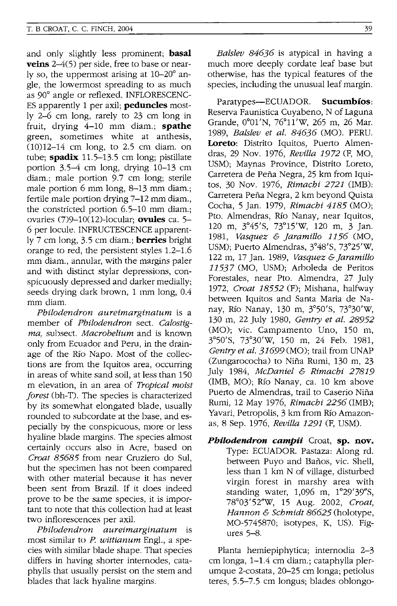and only slightly less prominent; **basal veins** 2-4(5) per side, free to base or nearly so, the uppermost arising at 10-20° angle, the lowermost spreading to as much as 90° angle or reflexed. INFLORESCENC-ES apparently 1 per axil; **peduncles** mostly 2-6 cm long, rarely to 23 cm long in fruit, drying 4-10 mm diam.; **spathe**  green, sometimes white at anthesis  $(10)12-14$  cm long, to 2.5 cm diam. on tube; **spadix** 11.5-13.5 cm long; pistillate portion 3.5-4 cm long, drying 10-13 cm diam.; male portion 9.7 cm long; sterile male portion 6 mm long, 8-13 mm diam.; fertile male portion drying 7–12 mm diam., the constricted portion 6.5-10 mm diam.; ovaries (7)9-10(12)-locular; **ovules** ca. 5-6 per locule. INFRUCTESCENCE apparently 7 cm long, 3.5 cm diam.; **berries** bright orange to red, the persistent styles 1.2-1.6 mm diam., annular, with the margins paler and with distinct stylar depressions, conspicuously depressed and darker medially; seeds drying dark brown, 1 mm long, 0.4 mm diam.

*Philodendron aureimarginatum* is a member of *Philodendron* sect. *Calostigma,* subsect. *Macrobelium* and is known only from Ecuador and Peru, in the drainage of the RIO Napo. Most of the collections are from the Iquitos area, occurring in areas of white sand soil, at less than 150 m elevation, in an area of *Tropical moist forest* (bh-T). The species is characterized by its somewhat elongated blade, usually rounded to subcordate at the base, and especially by the conspicuous, more or less hyaline blade margins. The species almost certainly occurs also in Acre, based on *Croat* 85685 from near Cruziero do SuI but the specimen has not been compared with other material because it has never been sent from Brazil. If it does indeed prove to be the same species, it is important to note that this collection had at least two inflorescences per axil.

*Philodendron aureimarginatum* is most similar to *P. wittianum* Engl., a species with similar blade shape. That species differs in having shorter internodes, cataphylls that usually persist on the stem and blades that lack hyaline margins.

*Balslev* 84636 is atypical in having a much more deeply cordate leaf base but otherwise, has the typical features of the species, including the unusual leaf margin.

Paratypes-ECUADOR. **Sucumbios:**  Reserva Faunistica Cuyabeno, N of Laguna Grande, 0°01'N, 76°11'W, 265 m, 26 Mar. *1989, Balslev et al.* 84636 (MO). PERU. **Loreto:** Distrito Iquitos, Puerto Almendras, 29 Nov. 1976, *Revilla* 1972 (F, MO, USM); Maynas Province, Distrito Loreto, Carretera de Pena Negra, 25 km from Iquitos, 30 Nov. 1976, *Rimachi* 2721 (1MB): Carretera Pena Negra, 2 km beyond Quista Cocha, 5 Jan. 1979, *Rimachi* 4185 (MO); Pto. Almendras, RIo Nanay, near Iquitos, 120 m, 3°45'S, 73°15'W, 120 m, 3 Jan. *1981, Vasquez* & *Jaramillo* 1156 (MO, USM); Puerto Almendras, 3°48'S, 73°25'W, 122 m, 17 Jan. 1989, *Vasquez* & *Jaramillo*  11537 (MO, USM); Arboleda de Peritos Forestales, near Pto. Almendra, 27 July *1972, Croat* 18552 (F); Mishana, halfway between Iquitos and Santa Maria de Nanay, RIO Nanay, 130 m, 3°50'S, 73°30'W, 130 m, 22 July 1980, *Gentry et al. 28952*  (MO); vic. Campamento Uno, 150 m, 3°50'S, 73°30'W, 150 m, 24 Feb. 1981, *Gentry et al.* 31699 (MO); trail from UNAP (Zungarococha) to Nina Rumi, 130 m, 23 July 1984, *McDaniel* & *Rimachi 27819*  (1MB, MO); RIo Nanay, ca. 10 km above Puerto de Almendras, trail to Caserio Nina Rumi, 12 May 1976, *Rimachi* 2256 (1MB); Yavari, Petropolis, 3 km from Río Amazonas, 8 Sep. 1976, *Revilla* 1291 (F, USM).

*Philodendron campii* Croat, **sp. nov.**  Type: ECUADOR. Pastaza: Along rd. between Puyo and Banos, vic. Shell, less than 1 km N of village, disturbed virgin forest in marshy area with standing water, 1,096 m, 1°29'39"S, 78°03' 52"W, 15 Aug. 2002, *Croat, Hannon* & *Schmidt* 86625 (holotype, MO-5745870; isotypes, K, US). Figures  $5-8$ .

Planta hemiepiphytica; internodia 2-3 cm longa, 1-1.4 cm diam.; cataphylla plerumque 2-costata, 20-25 cm longa; petiolus teres, 5.5-7.5 cm longus; blades oblongo-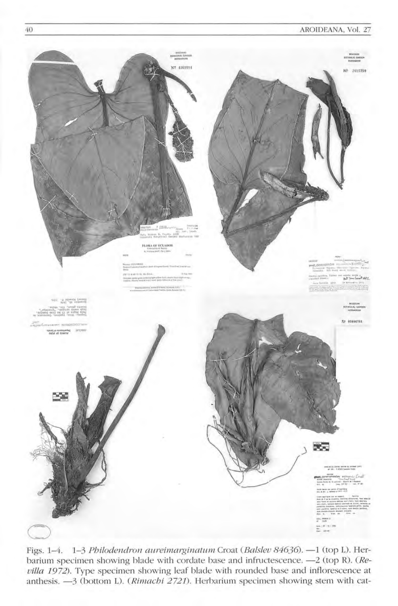

Figs. 1-4. 1-3 Philodendron aureimarginatum Croat (Balslev 84636). - 1 (top L). Herbarium specimen showing blade with cordate base and infructescence. - 2 (top R). (Revilla 1972). Type specimen showing leaf blade with rounded base and inflorescence at anthesis.  $-3$  (bottom L). (*Rimachi 2721*). Herbarium specimen showing stem with cat-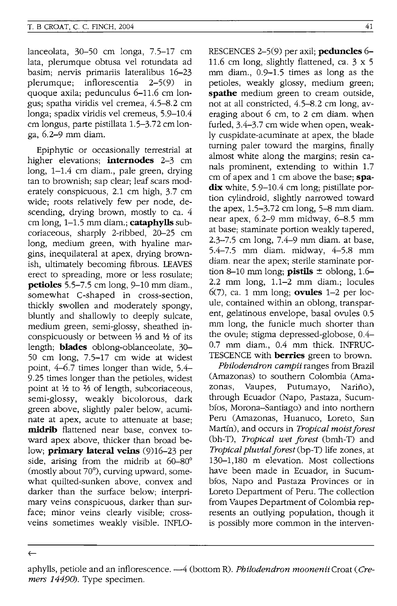lanceolata, 30-50 cm longa, 7.5-17 cm lata, plerumque obtusa vel rotundata ad basim; nervis primariis lateralibus 16-23 plerumque; inflorescentia 2-5(9) in quoque axila; pedunculus 6-11.6 cm longus; spatha viridis vel cremea, 4.5-8.2 cm longa; spadix viridis vel cremeus, 5.9-10.4 cm longus, parte pistillata 1.5-3.72 cm longa, 6.2-9 mm diam.

Epiphytic or occasionally terrestrial at higher elevations; **internodes** 2-3 cm long, 1-1.4 cm diam., pale green, drying tan to brownish; sap clear; leaf scars moderately conspicuous, 2.1 cm high, 3.7 cm wide; roots relatively few per node, descending, drying brown, mostly to ca. 4 cm long, 1-1.5 mm diam.; **cataphylls** subcoriaceous, sharply 2-ribbed, 20-25 cm long, medium green, with hyaline margins, inequilateral at apex, drying brownish, ultimately becoming fibrous. LEAVES erect to spreading, more or less rosulate; **petioles** 5.5–7.5 cm long, 9–10 mm diam., somewhat C-shaped in cross-section, thickly swollen and moderately spongy, bluntly and shallowly to deeply sulcate, medium green, semi-glossy, sheathed inconspicuously or between  $\frac{1}{3}$  and  $\frac{1}{2}$  of its length; **blades** oblong-oblanceolate, 30- 50 cm long, 7.5-17 cm wide at widest point, 4-6.7 times longer than wide, 5.4- 9.25 times longer than the petioles, widest point at  $\frac{1}{2}$  to  $\frac{2}{3}$  of length, subcoriaceous, semi-glossy, weakly bicolorous, dark green above, slightly paler below, acuminate at apex, acute to attenuate at base; **midrib** flattened near base, convex toward apex above, thicker than broad below; **primary lateral veins** (9)16-23 per side, arising from the midrib at  $60-80^\circ$ (mostly about  $70^{\circ}$ ), curving upward, somewhat quilted-sunken above, convex and darker than the surface below; interprimary veins conspicuous, darker than surface; minor veins clearly visible; crossveins sometimes weakly visible. INFLO-

RESCENCES 2-5(9) per axil; **peduncles** 6- 11.6 cm long, slightly flattened, ca. 3 x 5 mm diam., 0.9-1.5 times as long as the petioles, weakly glossy, medium green; **spathe** medium green to cream outside, not at all constricted, 4.5-8.2 cm long, averaging about 6 cm, to 2 cm diam. when furled, 3.4-3.7 cm wide when open, weakly cuspidate-acuminate at apex, the blade turning paler toward the margins, finally almost white along the margins; resin canals prominent, extending to within 1.7 cm of apex and 1 cm above the base; **spa**dix white,  $5.9-10.4$  cm long; pistillate portion cylindroid, slightly narrowed toward the apex,  $1.5-3.72$  cm long,  $5-8$  mm diam. near apex, 6.2-9 mm midway, 6-8.5 mm at base; staminate portion weakly tapered, 2.3-7.5 cm long, 7.4-9 mm diam. at base, 5.4-7.5 mm diam. midway, 4-5.8 mm diam. near the apex; sterile staminate portion 8-10 mm long; **pistils**  $\pm$  oblong, 1.6-2.2 mm long, 1.1-2 mm diam.; locules 6(7), ca. 1 mm long; **ovules** 1-2 per locule, contained within an oblong, transparent, gelatinous envelope, basal ovules 0.5 mm long, the funicle much shorter than the ovule; stigma depressed-globose, 0.4- 0.7 mm diam., 0.4 mm thick. INFRUC-TESCENCE with **berries** green to brown.

*Philodendron campii* ranges from Brazil (Amazonas) to southern Colombia (Amazonas, Vaupes, Putumayo, Nariño), through Ecuador (Napo, Pastaza, Sucumbios, Morona-Santiago) and into northern Peru (Amazonas, Huanuco, Loreto, San Martín), and occurs in *Tropical moist forest* (bh-T), *Tropical wet forest* (bmh-T) and *Tropical pluvial forest* (bp-T) life zones, at 130-1,180 m elevation. Most collections have been made in Ecuador, in Sucumbios, Napo and Pastaza Provinces or in Loreto Department of Peru. The collection from Vaupes Department of Colombia represents an outlying population, though it is possibly more common in the interven-

 $\leftarrow$ 

aphylls, petiole and an inflorescence. -4 (bottom R). *Philodendron moonenii* Croat (Cre*mers 14490).* Type specimen.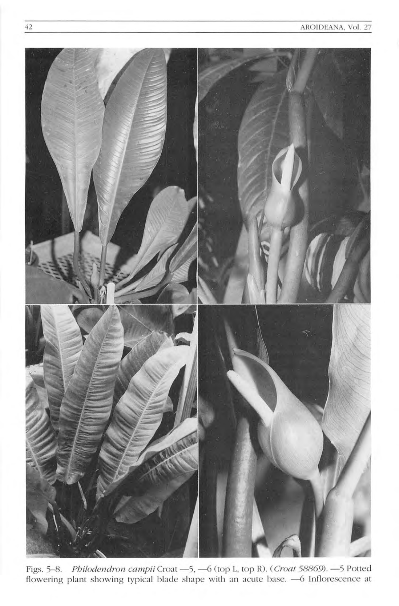

Figs. 5-8. Philodendron campii Croat -5, -6 (top L, top R). (Croat 58869). -5 Potted flowering plant showing typical blade shape with an acute base. -6 Inflorescence at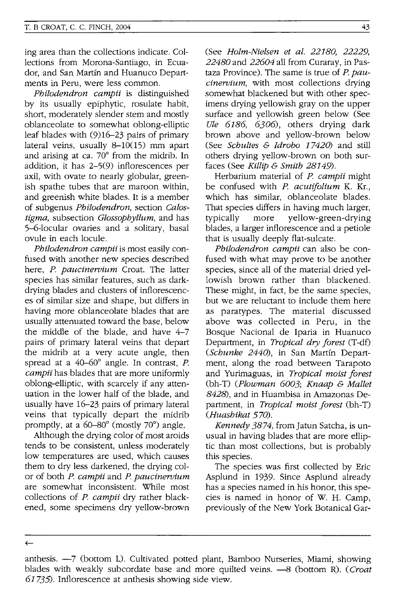ing area than the collections indicate. Collections from Morona-Santiago, in Ecuador, and San Martin and Huanuco Departments in Peru, were less common.

*Philodendron campii* is distinguished by its usually epiphytic, rosulate habit, short, moderately slender stem and mostly oblanceolate to somewhat oblong-elliptic leaf blades with (9)16-23 pairs of primary lateral veins, usually  $8-10(15)$  mm apart and arising at ca.  $70^{\circ}$  from the midrib. In addition, it has 2-5(9) inflorescences per axil, with ovate to nearly globular, greenish spathe tubes that are maroon within, and greenish white blades. It is a member of subgenus *Philodendron,* section *Calostigma,* subsection *Glossophyllum,* and has 5-6-locular ovaries and a solitary, basal ovule in each locule.

*Philodendron campii* is most easily confused with another new species described here, *P. paucinervium* Croat. The latter species has similar features, such as darkdrying blades and clusters of inflorescences of similar size and shape, but differs in having more oblanceolate blades that are usually attenuated toward the base, below the middle of the blade, and have  $4-7$ pairs of primary lateral veins that depart the midrib at a very acute angle, then spread at a 40–60° angle. In contrast, *P*. *campii* has blades that are more uniformly oblong-elliptic, with scarcely if any attenuation in the lower half of the blade, and usually have 16-23 pairs of primary lateral veins that typically depart the midrib promptly, at a  $60-80^\circ$  (mostly 70°) angle.

Although the drying color of most aroids tends to be consistent, unless moderately low temperatures are used, which causes them to dry less darkened, the drying color of both *P. campii* and *P. paucinervium*  are somewhat inconsistent. While most collections of *P. campii* dry rather blackened, some specimens dry yellow-brown (See *Holm-Nielsen et al. 22180, 22229, 22480* and *22604* all from Curaray, in Pastaza Province). The same is true of *P. paucinervium,* with most collections drying somewhat blackened but with other specimens drying yellowish gray on the upper surface and yellowish green below (See Ule 6186, *6306),* others drying dark brown above and yellow-brown below (See *Schultes* & *Idrobo* 1 *7420)* and still others drying yellow-brown on both surfaces (See *Killip* & *Smith 28149).* 

Herbarium material of *P. campii* might be confused with *P. acutifolium* K. Kr., which has similar, oblanceolate blades. That species differs in having much larger,<br>typically more vellow-green-drying more vellow-green-drying blades, a larger inflorescence and a petiole that is usually deeply flat-sulcate.

*Philodendron campii* can also be confused with what may prove to be another species, since all of the material dried yellowish brown rather than blackened. These might, in fact, be the same species, but we are reluctant to include them here as paratypes. The material discussed above was collected in Peru, in the Bosque Nacional de Iparia in Huanuco Department, in *Tropical dry forest* (T-df) *(Schunke 2440),* in San Martin Department, along the road between Tarapoto and Yurimaguas, in *Tropical moist forest*  (bh-T) *(Plowman 6003; Knaap* & *Mallet*  8428), and in Huambisa in Amazonas Department, in *Tropical moist forest* (bh-T) *(Huashikat 570).* 

Kennedy 3874, from Jatun Satcha, is unusual in having blades that are more elliptic than most collections, but is probably this species.

The species was first collected by Eric Asplund in 1939. Since Asplund already has a species named in his honor, this species is named in honor of W. H. Camp, previously of the New York Botanical Gar-

anthesis. -7 (bottom L). Cultivated potted plant, Bamboo Nurseries, Miami, showing blades with weakly subcordate base and more quilted veins. -8 (bottom R). *(Croat*  61735). Inflorescence at anthesis showing side view.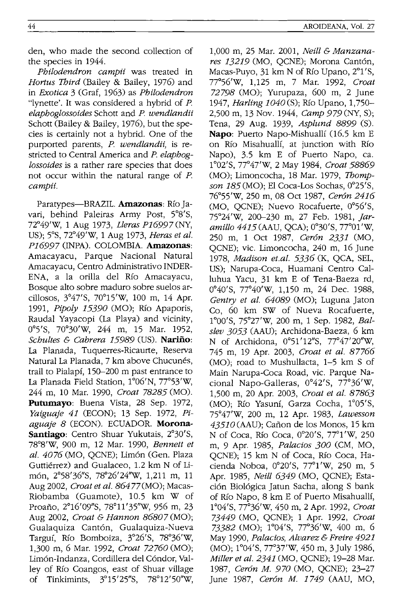den, who made the second collection of the species in 1944.

*Philodendron campii* was treated in *Hortus Third* (Bailey & Bailey, 1976) and in *Exotica* 3 (Graf, 1963) as *Philodendron*  "lynette". It was considered a hybrid of *P*. *elaphoglossoides* Schott and *P. wendlandii* Schott (Bailey & Bailey, 1976), but the species is certainly not a hybrid. One of the purported parents, *P. wendlandii*, is restricted to Central America and *P. elaphoglossoides* is a rather rare species that does not occur within the natural range of *P*. *campii.* 

Paratypes-BRAZIL. **Amazonas**: Río Javari, behind Paleiras Army Post, 5°8'S, 72°49'W, 1 Aug 1973, *Lleras P16997* (NY, US); 5°S, 72°49'W, 1 Aug 1973, *Heras et al. P16997* (INPA). COLOMBIA. Amazonas: Amacayacu, Parque Nacional Natural Amacayacu, Centro Administrativo INDER-ENA, a la orilla del Rio Amacayacu, Bosque alto sobre maduro sobre suelos arcillosos,  $3^{\circ}47'$ S,  $70^{\circ}15'$ W, 100 m, 14 Apr. 1991, *Pipoly 15390* (MO); Rfo Apaporis, Raudal Yayacopi (La Playa) and vicinity, 0°5'S, 70°30'W, 244 m, 15 Mar. 1952, *Schultes & Cabrera 15989* (US). Nariño: La Planada, Tuquerres-Ricaurte, Reserva Natural La Planada, 7 km above Chucunés, trail to Pialapi, 150-200 m past entrance to La Planada Field Station, 1°06'N, 77°53'W, 244 m, 10 Mar. 1990, *Croat* 78285 (MO). Putumayo: Buena Vista, 28 Sep. 1972, *Yaiguaje* 41 (ECON); 13 Sep. 1972, *Piaguaje* 8 (ECON). ECUADOR. **Morona-**Santiago: Centro Shuar Yukutais, 2°30'S, 78°8'W, 900 m, 12 Mar. 1990, *Bennett et at. 4076* (MO, QCNE); Lim6n (Gen. Plaza Guttiérrez) and Gualaceo, 1.2 km N of Lim6n, 2°58'36"S, 78°26' 24"W, 1,211 m, 11 Aug 2002, *Croat et al.* 86477(MO); Macas-Riobamba (Guamote), 10.5 km W of Proano, 2°16'09"S, 78°11'35"W, 956 m, 23 Aug 2002, *Croat* & *Hannon 86807* (MO); Gualaquiza Cant6n, Gualaquiza-Nueva Targui, Rio Bomboiza, 3°26'S, 78°36'w, 1,300 m, 6 Mar. 1992, *Croat 72760* (MO); Lim6n-Indanza, Cordillera del C6ndor, Valley of Rfo Coangos, east of Shuar village of Tinkimints, 3°15'25"S, 78°12'50"W,

1,000 m, 25 Mar. 2001, *Neill* & *Manzana*res 13219 (MO, QCNE); Morona Cantón, Macas-Puyo, 31 km N of Rio Upano, 2°1'S, 77°56'w, 1,125 m, 7 Mar. 1992, *Croat*  72798 (MO); Yurupaza, 600 m, 2 June 1947, *Harling 1040* (S); Rio Upano, 1,750- 2,500 m, 13 Nov. 1944, *Camp* 979 (NY, S); Tena, 29 Aug. 1939, *Asplund* 8899 (S). Napo: Puerto Napo-Mishuallí (16.5 km E on Rio Misahuallf, at junction with Rio Napo), 3.5 km E of Puerto Napo, ca. 1002'S, 7r47'W, 2 May 1984, *Croat 58869*  (MO); Limoncocha, 18 Mar. 1979, *Thomp*son 185 (MO); El Coca-Los Sochas, 0°25'S, 76°55'W, 250 m, 08 Oct 1987, *Ceron 2416*  (MO, QCNE); Nuevo Rocafuerte,  $0^{\circ}56'$ S, 75°24'W, 200-230 m, 27 Feb. 1981, *Jaramillo 4415* (AAU, QCA); 0°30'S, 77°01'W, 250 m, 1 Oct 1987, *Ceron* 2331 (MO, QCNE); vic. Limoncocha, 240 m, 16 June 1978, *Madison et.al.* 5336 (K, QCA, SEL, US); Narupa-Coca, Huamani Centro Calluhua Yacu, 31 km E of Tena-Baeza rd, 0°40'S, 77°40'W, 1,150 m, 24 Dec. 1988, *Gentry et al. 64089* (MO); Luguna Jaton Co, 60 km SW of Nueva Rocafuerte, 1000'S, 75°27'W, 200 m, 1 Sep. 1982, *Balslev 3053* (AAU); Archidona-Baeza, 6 km N of Archidona, 0°51'12"S, 77°47'20"W, 745 m, 19 Apr. 2003, *Croat et al. 87766*  (MO); road to Mushullacta, 1-5 km S of Main Narupa-Coca Road, vic. Parque Nacional Napo-Galleras, 0°42'S, 77°36'W, 1,500 m, 20 Apr. 2003, *Croat et at. 87863*  (MO); Río Yasuní, Garza Cocha, 1°05'S, 75°47'W, 200 m, 12 Apr. 1983, *Lawesson 43510* (AAU); Canon de los Monos, 15 km N of Coca, Río Coca, 0°20'S, 77°1'W, 250 m, 9 Apr. 1985, *Palacios 300* (CM, MO, QCNE); 15 km N of Coca, Rio Coca, Hacienda Noboa, 0°20'S, 77°1'W, 250 m, 5 Apr. 1985, *Neill* 6349 (MO, QCNE); Estaci6n Bio16gica Jatun Sacha, along S bank of Rio Napo, 8 km E of Puerto Misahualli, 1004'S, 77°36'W, 450 m, 2 Apr. 1992, *Croat*  73449 (MO, QCNE); 1 Apr. 1992, *Croat*  73382 (MO); 1°04'S, 77°36'W, 400 m, 6 May 1990, *Palacios, Alvarez & Freire 4921* (MO); 1°04'S, 77°37'W, 450 m, 3 July 1986, *Miller et al.* 2341 (MO, QCNE); 19-28 Mar. 1987, *Ceron M. 970* (MO, QCNE); 23-27 June 1987, *Ceron M.* 1749 (AAU, MO,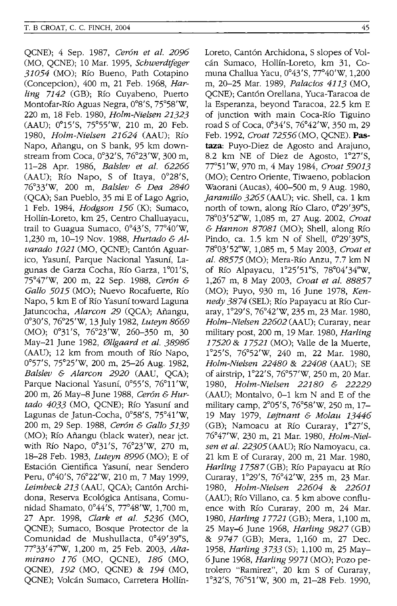QCNE); 4 Sep. 1987, *Ceron et al. 2096*  (MO, QCNE); 10 Mar. 1995, *Schwerdtfeger 31054* (MO); Rio Bueno, Path Cotapino (Concepcion), 400 m, 21 Feb. 1968, *Harling* 7142 (GB); Rio Cuyabeno, Puerto Montofar-Río Aguas Negra, 0°8'S, 75°58'W, 220 m, 18 Feb. 1980, *Holm-Nielsen 21323*  (AAU); 0°15'S, 75°55'W, 210 m, 20 Feb. *1980, Holm-Nielsen* 21624 (AAU); Rio Napo, Afiangu, on S bank, 95 km downstream from Coca, 0°32'S, 76°23'W, 300 m, 11-28 Apr. 1986, *Balslev et al. 62266*   $(AAU)$ ; Río Napo, S of Itaya,  $0^{\circ}28'$ S, 76°33'W, 200 m, *Balslev* & *Dea 2840*  (QCA); San Pueblo, 35 mi E of Lago Agrio, 1 Feb. 1984, *Hodgson* 156 (K); Sumaco, Hollin-Loreto, km 25, Centro Challuayacu, trail to Guagua Sumaco,  $0^{\circ}43'$ S,  $77^{\circ}40'$ W, 1,230 m, 10-19 Nov. 1988, *Hurtado* & *Al*varado 1021 (MO, QCNE); Cantón Aguarico, Yasuni, Parque Nacional Yasuni, Lagunas de Garza Cocha, Río Garza, 1°01'S, 75°47'W, 200 m, 22 Sep. 1988, *Ceron* & *Gallo 5015* (MO); Nuevo Rocafuerte, Rio Napo, 5 km E of Rio Yasuni toward Laguna Jatuncocha, Alarcon 29 (QCA); Añangu, 0030'S, 76°25'W, 13 July 1982, *Luteyn 8669*  (MO); 0°31'S, 76°23'W, 260-350 m, 30 May-21 June 1982, *0llgaard et al. 38986*  (AAU); 12 km from mouth of Rio Napo, 0°57'S, 75°25'W, 200 m, 25-26 Aug. 1982, *Balslev* & *Alarcon 2920* (AAU, QCA); Parque Nacional Yasuní, 0°55'S, 76°11'W, 200 m, 26 May-8June 1988, *Ceron* & *Hurtado 4033* (MO, QCNE); Rio Yasuni and Lagunas de Jatun-Cocha, 0°58'S, 75°41'W, 200 m, 29 Sep. 1988, *Ceron* & *Gallo 5139*  (MO); Rio Afiangu (black water), near jct. with Río Napo, 0°31'S, 76°23'W, 270 m, 18--28 Feb. 1983, *Luteyn* 8996 (MO); E of Estacion Cientifica Yasuni, near Sendero Peru, 0°40'S, 76°22'W, 210 m, 7 May 1999, Leimbeck 213 (AAU, QCA); Cantón Archidona, Reserva Ecologica Antisana, Comunidad Shamato, 0°44'S, 77°48'W, 1,700 m, 27 Apr. 1998, *Clark et al.* 5236 (MO, QCNE); Sumaco, Bosque Protector de la Comunidad de Mushullacta, 0°49'39"S, 77°33'47''W, 1,200 m, 25 Feb. 2003, *Altamirano* 176 (MO, QCNE), 186 (MO, QCNE), 192 (MO, QCNE) & 194 (MO, QCNE); Volcan Sumaco, Carretera HollfnLoreto, Cantón Archidona, S slopes of Volcán Sumaco, Hollín-Loreto, km 31, Comuna Challua Yacu, 0°43'S, 77°40'W, 1,200 m, 20-25 Mar. 1989, *Palacios* 4113 (MO, QCNE); Cantón Orellana, Yuca-Taracoa de la Esperanza, beyond Taracoa, 22.5 km E of junction with main Coca-Rio Tiguino road S of Coca, 0°34'S, 76°42'W, 350 m, 29 Feb. 1992, *Croat* 72556(MO, QCNE). Pastaza: Puyo-Diez de Agosto and Arajuno, 8.2 km NE of Diez de Agosto,  $1^{\circ}27'$ S, 77°51'W, 970 m, 4 May 1984, *Croat 59013*  (MO); Centro Oriente, Tiwaeno, poblacion Waorani (Aucas), 400-500 m, 9 Aug. 1980, *Jaramillo* 3265 (AAU); vic. Shell, ca. 1 km north of town, along Río Claro, 0°29'39"S, 78°03' 52''W, 1,085 m, 27 Aug. 2002, *Croat*  & *Hannon 87081* (MO); Shell, along Rio Pindo, ca. 1.5 km N of Shell, 0°29'39"S, 78°03' 52"W, 1,085 m, 5 May 2003, *Croat et al.* 88575 (MO); Mera-Rio Anzu, 7.7 km N of Rio Alpayacu, 1°25'51"S, 78°04' 34''W, 1,267 m, 8 May 2003, *Croat et al. 88857*  (MO); Puyo, 930 m, 16 June 1978, *Kennedy* 3874 (SEL); Rio Papayacu at Rio Curaray, 1029'S, 76°42'W, 235 m, 23 Mar. 1980, *Holm-Nielsen 22602* (AAU); Curaray, near military post, 200 m, 19 Mar. 1980, *Harling 17520* & 17521 (MO); Valle de la Muerte, 1025'S, 76°52'W, 240 m, 22 Mar. 1980, *Holm-Nielsen 22480* & *22408* (AAU); SE of airstrip, 1022'S, 76°57'W, 250 m, 20 Mar. *1980, Holm-Nielsen 22180* & 22229 (AAU); Montalvo,  $0-1$  km N and E of the military camp, 2°05'S, 76°58'W, 250 m, 17– 19 May 1979, *Lejtnant* & *Molau 13446*  (GB); Namoacu at Río Curaray, 1°27'S, 76°47'W, 230 m, 21 Mar. 1980, *Holm-Nielsen et al. 22305* (AAU); Rio Namoyacu, ca. 21 km E of Curaray, 200 m, 21 Mar. 1980, *Harling* 17587 (GB); Rio Papayacu at Rio Curaray, 1029'S, 76°42'W, 235 m, 23 Mar. *1980, Holm-Nielsen 22604* & *22601*  (AAU); Rio Villano, ca. 5 km above confluence with Rio Curaray, 200 m, 24 Mar. *1980, Harling* 17721 (GB); Mera, 1,100 m, 25 May--6 June 1968, *Harling* 9827 (GB) & 9747 (GB); Mera, 1,160 m, 27 Dec. *1958, Harling* 3733 (S); 1,100 m, 25 May-6 June 1968, *Harling* 9971 (MO); Pozo petrolero "Ramirez", 20 km S of Curaray, 1032'S, 76°51'W, 300 m, 21-28 Feb. 1990,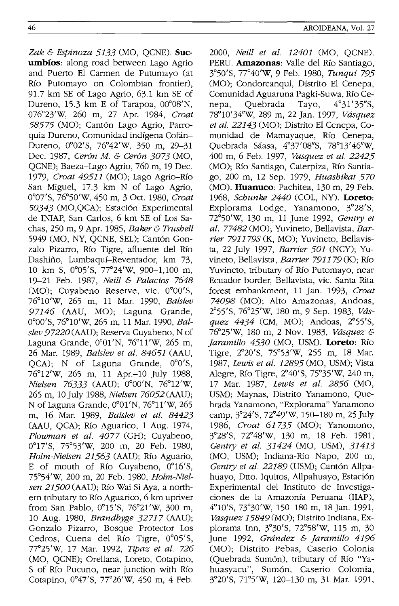*Zak* & *Espinoza* 5133 (MO, QCNE). **Sucumbios:** along road between Lago Agrio and Puerto El Carmen de Putumayo (at Rio Putomayo on Colombian frontier), 91.7 km SE of Lago Agrio, 63.1 km SE of Dureno, 15.3 km E of Tarapoa, 00°08'N, 076°23'W, 260 m, 27 Apr. 1984, *Croat*  58575 (MO); Cantón Lago Agrio, Parroquia Dureno, Comunidad indígena Cofán-Dureno, 0°02'S, 76°42'W, 350 m, 29-31 Dec. 1987, *Cer6n M.* & *Cer6n 3073* (MO, QCNE); Baeza-Lago Agrio, 760 m, 19 Dec. 1979, *Croat* 49511 (MO); Lago Agrio-Rlo San Miguel, 17.3 km N of Lago Agrio, 0007'S, 76°50'W, 450 m, 3 Oct. 1980, *Croat 50343* (MO,QCA); Estacion Experimental de INlAP, San Carlos, 6 km SE of Los Sachas, 250 m, 9 Apr. 1985, *Baker* & *Trushell*  5949 (MO, NY, QCNE, SEL); Cantón Gonzalo Pizarro, Río Tigre, afluente del Río Dashiño, Lumbaquí-Reventador, km 73, 10 km S, 0005'S, 77°24'W, 900-1,100 m, 19-21 Feb. 1987, *Neill* & *Palacios 7648*  (MO); Cuyabeno Reserve, vic. 0°00'S, 76°10'W, 265 m, 11 Mar. 1990, *Balslev*  97146 (AAU, MO); Laguna Grande, OOOO'S, 76°lO'W, 265 m, 11 Mar. 1990, *Balslev 97220* (AAU); Reserva Cuyabeno, N of Laguna Grande, 0°01'N, 76°11'W, 265 m, 26 Mar. 1989, *Balslev et al.* 84651 (AAU,  $QCA$ ); N of Laguna Grande,  $0^{\circ}0^{\prime}S$ , 76°12'W, 265 m, 11 Apr.-10 July 1988, *Nielsen* 76333 (AAU); 0°00'N, 76°12'W, 265 m, 10 July 1988, *Nielsen 76052* (AAU); N of Laguna Grande, 0°01'N, 76°11'W, 265 m, 16 Mar. 1989, *Balslev et al. 84423*  (AAU, QCA); RIO Aguarico, 1 Aug. 1974, *Plowman et al. 4077* (GH); Cuyabeno, 0017'S, 75°53'W, 200 m, 20 Feb. 1980, *Holm-Nielsen* 21563 (AAU); Rio Aguario, E of mouth of Río Cuyabeno,  $0^{\circ}16'$ S, 75°54'W, 200 m, 20 Feb. 1980, *Holm-Nielsen 21500* (AAU); RIO Wai Si Aya, a northern tributary to RIO Aguarico, 6 km upriver from San Pablo, 0°15'S, 76°21'W, 300 m, 10 Aug. 1980, *Brandbyge* 32717 (AAU); Gonzalo Pizarro, Bosque Protector Los Cedros, Cuena del Río Tigre, 0°05'S, 77°25'W, 17 Mar. 1992, *Tipaz et al. 726*  (MO, QCNE); Orellana, Loreto, Cotapino, S of Rio Pucuno, near junction with RIO Cotapino, 0°47'S, 77°26'W, 450 m, 4 Feb.

2000, *Neill et al. 12401* (MO, QCNE). PERU. **Amazonas**: Valle del Río Santiago, 3°50'S, 77°40'W, 9 Feb. 1980, *Tunqui 795*  (MO); Condorcanqui, Distrito El Cenepa, Comunidad Aguanma Pagki-Suwa, Rio Cenepa, Quebrada Tayo, 4°31'35"S, 78°l0'34''W, 289 m, 22 Jan. 1997, *Vasquez et al.* 22143 (MO); Distrito El Cenepa, Comunidad de Mamayaque, Río Cenepa, Quebrada Saasa, 4°37'08"S, 78°13'46''W, 400 m, 6 Feb. 1997, *Vasquez et al. 22425*  (MO); Río Santiago, Caterpiza, Río Santiago, 200 m, 12 Sep. 1979, *Huashikat 570*  (MO). **Huanuco:** Pachitea, 130 m, 29 Feb. 1968, *Schunke 2440* (COL, NY). **Loreto:**  Explorama Lodge, Yanamono, 3°28'S, n050'w, 130 m, 11 June 1992, *Gentry et al.* 77482 (MO); Yuvineto, Bellavista, *Barrier 791179S* (K, MO); Yuvineto, Bellavista, 22 July 1997, *Barrier 501* (NCY); Yuvineto, Bellavista, *Barrier* 791179 (K); Rio Yuvineto, tributary of Río Putomayo, near Ecuador border, Bellavista, vic. Santa Rita forest embankment, 11 Jan. 1993, *Croat 74098* (MO); Alto Amazonas, Andoas, 2055'S, 76°25'W, 180 m, 9 Sep. 1983, *Vasquez 4434* (CM, MO); Andoas, 2°55'S, 76°25'W, 180 m, 2 Nov. 1983, *Vasquez* & *Jaramillo 4530* (MO, USM). **Loreto:** Rio Tigre, 2°20'S, 75°53'W, 255 m, 18 Mar. 1987, *Lewis et al.* 12895 (MO, USM); Vista Alegre, Río Tigre, 2°40'S, 75°35'W, 240 m, 17 Mar. 1987, *Lewis et al.* 2856 (MO, USM); Maynas, Distrito Yanamono, Quebrada Yanamono, "Explorama" Yanamono camp,  $3^{\circ}24'$ S, 72°49'W, 150-180 m, 25 July 1986, *Croat* 61735 (MO); Yanomono, 3°28'S, 72°48'W, 130 m, 18 Feb. 1981, *Gentry et al.* 31424 (MO, USM), 31413 (MO, USM); Indiana-RIo Napo, 200 m, *Gentry et al. 22189* (USM); Cantón Allpahuayo, Dtto. Iquitos, Allpahuayo, Estación Experimental del Instituto de Investigaciones de la Amazonía Peruana (IIAP), 4°lO'S, 73°30'W, 150-180 m, 18 Jan. 1991, *Vasquez* 15849 (MO); Distrito Indiana, Explorama Inn, 3°30'S, 72°58'W, 115 m, 30 June 1992, *Grandez* & *Jaramillo 4196*  (MO); Distrito Pebas, Caserio Colonia (Quebrada Sumón), tributary of Río "Yahuasyacu", Sumón, Caserio Colomia, 3°20'S, 71°5'W, 120-130 m, 31 Mar. 1991,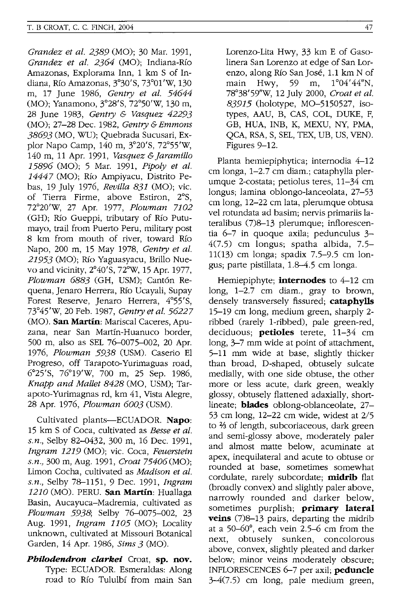*Grandez et al.* 2389 (MO); 30 Mar. 1991, *Grandez et al.* 2364 (MO); Indiana-Rio Amazonas, Explorama Inn, 1 km S of Indiana, Rio Amazonas, 3°30'S, 73°01'W, 130 m, 17 June 1986, *Gentry et al.* 54644 (MO); Yanamono, 3°28'S, 72°50'W, 130 m, 28 June 1983, *Gentry* & *Vasquez* 42293 (MO); 27-28 Dec. 1982, *Gentry* & *Emmons*  38693 (MO, WU); Quebrada Sucusari, Explor Napo Camp, 140 m, 3°20'S, 72°55'W, 140 m, 11 Apr. 1991, *Vasquez* & *Jaramillo*  15896 (MO); 5 Mar. 1991, *Pipoly et al.*  14447 (MO); Rio Ampiyacu, Distrito Pebas, 19 July 1976, *Revilla* 831 (MO); vic. of Tierra Firme, above Estiron, 2°S, n020'W, 27 Apr. 1977, *Plowman* 7102 (GH); Rio Gueppi, tributary of Rio Putumayo, trail from Puerto Peru, military post 8 km from mouth of river, toward Rio Napo, 200 m, 15 May 1978, *Gentry et al.*  21953 (MO); Rio Yaguasyacu, Brillo Nuevo and vicinity,  $2^{\circ}40'$ S,  $72^{\circ}$ W, 15 Apr. 1977, Plowman 6883 (GH, USM); Cantón Requena, Jenaro Herrera, Rio Ucayali, Supay Forest Reserve, Jenaro Herrera, 4°55'S, 73°45'W, 20 Feb. 1987, *Gentry et al.* 56227 (MO). **San Martin:** Mariscal Caceres, Apuzana, near San Martin-Huanuco border, 500 m, also as SEL 76-0075-002, 20 Apr. *1976, Plowman* 5938 (USM). Caserio EI Progreso, off Tarapoto-Yurimaguas road, 6°25'S, 76°19'W, 700 m, 25 Sep. 1986, *Knapp and Mallet* 8428 (MO, USM); Tarapoto-Yurimagnas rd, km 41, Vista Alegre, 28 Apr. 1976, *Plowman* 6003 (USM).

Cultivated plants-ECUADOR. **Napo:**  15 km S of Coca, cultivated as *Besse et al. s.n.,* Selby 82-0432, 300 m, 16 Dec. 1991, *Ingram* 1219 (MO); vic. Coca, *Feuerstein s.n.,* 300 m, Aug. 1991, *Croat* 75406(MO); Limon Cocha, cultivated as *Madison et al. s.n.,* Selby 78-1151, 9 Dec. 1991, *Ingram*  1210 (MO). PERU. **San Martin:** Huallaga Basin, Aucayuca-Madremia, cultivated as *Plowman* 5938; Selby 76-0075-002, 23 Aug. 1991, *Ingram* 1105 (MO); Locality unknown, cultivated at Missouri Botanical Garden, 14 Apr. 1986, *Sims* 3 (MO).

*Philodendron clarkei* Croat, **sp. nov.**  Type: ECUADOR. Esmeraldas: Along road to Rio Tululbi from main San Lorenzo-Lita Hwy, 33 km E of Gasolinera San Lorenzo at edge of San Lorenzo, along Río San José, 1.1 km N of<br>main Hwy, 59 m, 1°04'44"N, main Hwy, 59 m, 1°04'44"N, 78°38' 59"W, 12 July 2000, *Croat et al.*  83915 (holotype, MO-5150527, isotypes, AAU, B, CAS, COL, DUKE, F, GB, HUA, INB, K, MEXU, NY, PMA, QCA, RSA, S, SEL, TEX, UB, US, YEN). Figures 9-12.

Planta hemiepiphytica; internodia 4-12 cm longa, 1-2.7 cm diam.; cataphylla plerumque 2-costata; petiolus teres, 11-34 cm longus; lamina oblongo-Ianceolata, 27-53 cm long, 12-22 cm lata, plerumque obtusa vel rotundata ad basim; nervis primariis lateralibus (7)8-13 plerumque; inflorescentia 6-7 in quoque axila; pedunculus 3- 4(7.5) cm longus; spatha albida, 7.5- 11(13) cm longa; spadix 7.5-9.5 cm longus; parte pistillata, 1.8-4.5 cm longa.

Hemiepiphyte; **internodes** to 4-12 cm long, 1-2.7 cm diam., gray to brown, densely transversely fissured; **cataphylls**  15-19 cm long, medium green, sharply 2 ribbed (rarely I-ribbed), pale green-red, deciduous; **petioles** terete, 11-34 cm long, 3-7 mm wide at point of attachment, 5-11 mm wide at base, slightly thicker than broad, D-shaped, obtusely sulcate medially, with one side obtuse, the other more or less acute, dark green, weakly glossy, obtusely flattened adaxially, shortlineate; **blades** oblong-oblanceolate, 27- 53 cm long, 12-22 cm wide, widest at 2/5 to  $\frac{2}{3}$  of length, subcoriaceous, dark green and semi-glossy above, moderately paler and almost matte below, acuminate at apex, inequilateral and acute to obtuse or rounded at base, sometimes somewhat cordulate, rarely subcordate; **midrib** flat (broadly convex) and slightly paler above, narrowly rounded and darker below, sometimes purplish; **primary lateral veins** (7)8-13 pairs, departing the midrib at a  $50-60^\circ$ , each vein 2.5-6 cm from the next, obtusely sunken, concolorous above, convex, slightly pleated and darker below; minor veins moderately obscure; INFLORESCENCES 6-7 per axil; **peduncle**  3-4(7.5) cm long, pale medium green,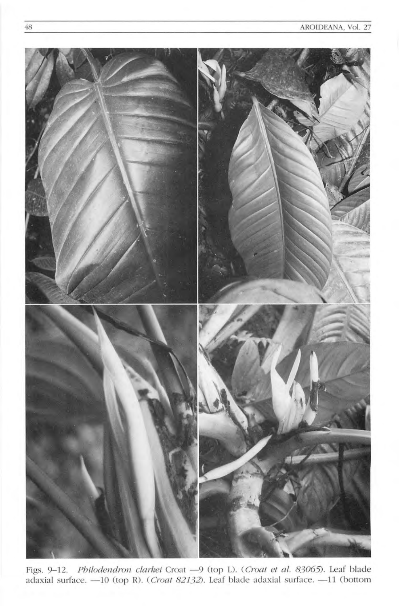

Figs. 9-12. Philodendron clarkei Croat - 9 (top L). (Croat et al. 83065). Leaf blade adaxial surface. -10 (top R). (*Croat 82132*). Leaf blade adaxial surface. -11 (bottom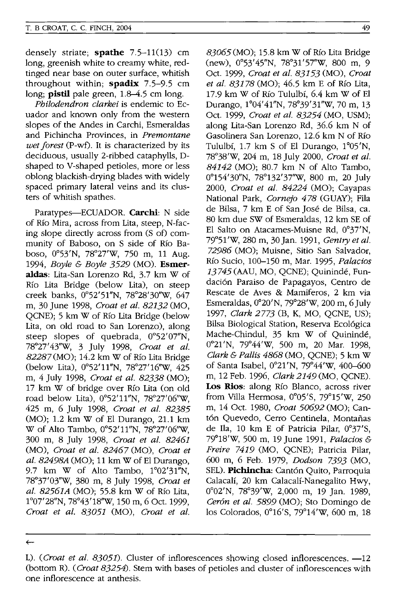densely striate; **spathe** 7.5-11(3) cm long, greenish white to creamy white, redtinged near base on outer surface, whitish throughout within; **spadix** 7.5-9.5 cm long; **pistil** pale green, 1.8-4.5 cm long.

*Philodendron clarkei* is endemic to Ecuador and known only from the western slopes of the Andes in Carchi, Esmeraldas and Pichincha Provinces, in *Premontane wet forest* (P-wf). It is characterized by its deciduous, usually 2-ribbed cataphylls, Dshaped to V-shaped petioles, more or less oblong blackish-drying blades with widely spaced primary lateral veins and its clusters of whitish spathes.

Paratypes-ECUADOR. **Carchi**: N side of Rio Mira, across from Lita, steep, N-facing slope directly across from (S of) community of Baboso, on S side of Rio Baboso, 0°53'N, 78°27'W, 750 m, 11 Aug. 1994, *Boyle* & *Boyle* 3529 (MO). **Esmeraldas:** Lita-San Lorenzo Rd, 3.7 km W of Rio Lita Bridge (below Lita), on steep creek banks, 0°52'51"N, 78°28'30"W, 647 m, 30 June 1998, *Croat et al.* 82132 (MO, QCNE); 5 km W of Rfo Lita Bridge (below Lita, on old road to San Lorenzo), along steep slopes of quebrada,  $0^{\circ}52'07''N$ , 78°27'43''W, 3 July 1998, *Croat et al.*  82287(MO); 14.2 km W of Rio Lita Bridge (below Lita), 0°52' l1"N, 78°27' 16''W, 425 m, 4 July 1998, *Croat et al.* 82338 (MO); 17 km W of bridge over Rfo Lita (on old road below Lita), 0°52' l1"N, 78°27'06"W, 425 m, 6 July 1998, *Croat et at. 82385*  (MO); 1.2 km W of El Durango, 21.1 km W of Alto Tambo, 0°52' l1"N, 78°27'06''W, 300 m, 8 July 1998, *Croat et al. 82461*  (MO), *Croat et al.* 82467 (MO), *Croat et al. 82498A* (MO); 11 km W of El Durango, 9.7 km W of Alto Tambo, 1°02'31"N, 78°37'03''W, 380 m, 8 July 1998, *Croat et at. 82561A* (MO); 55.8 km W of Rio Lita, 1°07'28"N, 78°43'18''W, 150 m, 6 Oct. 1999, *Croat et al. 83051* (MO), *Croat et al.* 

*83065* (MO); 15.8 km W of Rio Lita Bridge  $(new)$ ,  $0°53'45''N$ ,  $78°31'57''W$ , 800 m, 9 Oct. 1999, *Croat et al.* 83153 (MO), *Croat et al.* 83178 (MO); 46.5 km E of Rio Lita, 17.9 km W of Rio Tululbi, 6.4 km W of El Durango, 1°04'41"N, 78°39'31"W, 70 m, 13 Oct. 1999, *Croat et at.* 83254 (MO, USM); along Lita-San Lorenzo Rd, 36.6 km N of Gasolinera San Lorenzo, 12.6 km N of Rio Tululbi, 1.7 km S of El Durango, 1°05'N, 78°38'W, 204 m, 18 July 2000, *Croat et al.*  84142 (MO); 80.7 km N of Alto Tambo, 0°154'30"N, 78°132'37"W, 800 m, 20 July *2000, Croat et al.* 84224 (MO); Cayapas National Park, *Cornejo* 478 (GUAY); Fila de Bilsa, 7 km E of San Jose de Bilsa, ca. 80 km due SW of Esmeraldas, 12 km SE of El Salto on Atacames-Muisne Rd,  $0^{\circ}37'N$ , 79°51'W, 280 m, 30 Jan. 1991, *Gentry et al.*  72986 (MO); Muisne, Sitio San Salvador, Rio Sucio, 100-150 m, Mar. 1995, *Palacios*  13745 (AAU, MO, QCNE); Quininde, Fundaci6n Paraiso de Papagayos, Centro de Rescate de Aves & Mamiferos, 2 km via Esmeraldas, 0°20'N, 79°28'W, 200 m, 6 July 1997, *Clark* 2773 (B, K, MO, QCNE, US); Bilsa Biological Station, Reserva Eco16gica Mache-Chindul, 35 km W of Quininde, 0°21'N, 79°44'W, 500 m, 20 Mar. 1998, *Clark* & *Pallis* 4868 (MO, QCNE); 5 km W of Santa Isabel, 0°21'N, 79°44'W, 400-600 m, 12 Feb. 1996, *Clark* 2149 (MO, QCNE). **Los Rios:** along Rio Blanco, across river from Villa Hermosa, 0°05'S, 79°15'W, 250 m, 14 Oct. 1980, *Croat 50692* (MO); Cantón Quevedo, Cerro Centinela, Montañas de Ila, 10 km E of Patricia Pilar,  $0^{\circ}37'$ S, 79°18'W, 500 m, 19 June 1991, *Palacios* & *Freire* 7419 (MO, QCNE); Patricia Pilar, 600 m, 6 Feb. 1979, *Dodson* 7393 (MO, SEL). **Pichineha:** Cant6n Quito, Parroquia Calacalí, 20 km Calacalí-Nanegalito Hwy, 0002'N, 78°39'W, 2,000 m, 19 Jan. 1989, *Cer6n et al.* 5899 (MO); Sto Domingo de los Colorados, 0°16'S, 79°14'W, 600 m, 18

 $\leftarrow$ 

L). (Croat et al. 83051). Cluster of inflorescences showing closed inflorescences. -12 (bottom R). *(Croat* 83254). Stem with bases of petioles and cluster of inflorescences with one inflorescence at anthesis.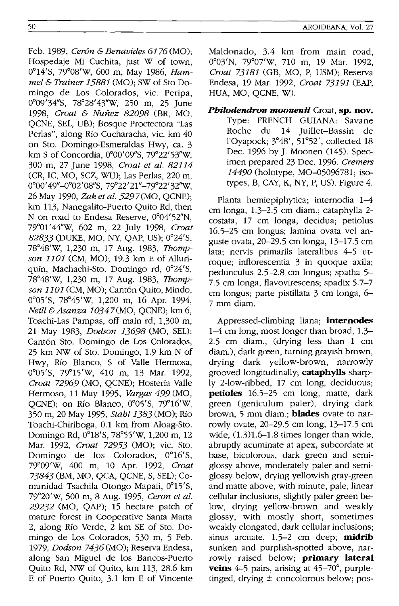Feb. 1989, *CerOn* & *Benavides* 6176 (MO); Hospedaje Mi Cuchita, just W of town, 0014'S, 79°08'W, 600 m, May 1986, *Hammel* & *Trainer* 15881 (MO); SW of Sto Domingo de Los Colorados, vic. Peripa, 0009'34"S, 78°28'43''W, 250 m, 25 June *1998, Croat* & *Nunez 82098* (BR, MO, QCNE, SEL, UB); Bosque Proctectora "Las Perlas", along Rfo Cucharacha, vic. km 40 on Sto. Domingo-Esmeraldas Hwy, ca. 3 km S of Concordia, 0°00'09"S, 79°22'53"W, 300 m, 27 June 1998, *Croat et al. 82114*  (CR, IC, MO, SCZ, WU); Las Perlas, 220 m, 0°00'49"-0°02'08"S, 79°22'21"-79°22'32"W, 26 May 1990, *Zak et al.* 5297(MO, QCNE); km 113, Nanegalito-Puerto Quito Rd, then N on road to Endesa Reserve, 0°04'52"N, 79°01'44''W, 602 m, 22 July 1998, *Croat*  82833 (DUKE, MO, NY, QAP, US); 0°24'S, 78°48'W, 1,230 m, 17 Aug. 1983, *Thompson* 1101 (CM, MO); 19.3 km E of Alluriquín, Machachi-Sto. Domingo rd, 0°24'S, 78°48'W, 1,230 m, 17 Aug. 1983, *Thomp*son 1101 (CM, MO); Cantón Quito, Mindo, 0005'S, 78°45'W, 1,200 m, 16 Apr. 1994, *Neill* & *Asanza* 10347(MO, QCNE); km 6, Toachi-Las Pampas, off main rd, 1,300 m, 21 May 1983, *Dodson* 13698 (MO, SEL); Cant6n Sto. Domingo de Los Colorados, 25 km NW of Sto. Domingo, 1.9 km N of Hwy, Rfo Blanco, S of Valle Hermosa, 0005'S, 79°15'W, 410 m, 13 Mar. 1992, *Croat* 72969 (MO, QCNE); Hosterfa Valle Hermoso, 11 May 1995, *Vargas* 499 (MO, QCNE); on Río Blanco, 0°05'S, 79°16'W, 350 m, 20 May 1995, *Stahl* 1383 (MO); Rfo Toachi-Chiriboga, 0.1 km from Aloag-Sto. Domingo Rd, 0°18'S, 78°55'W, 1,200 m, 12 Mar. 1992, *Croat* 72953 (MO); vic. Sto. Domingo de los Colorados,  $0^{\circ}16'$ S, 79°09'W, 400 m, 10 Apr. 1992, *Croat*  73843 (BM, MO, QCA, QCNE, S, SEL); Comunidad Tsachila Otongo Mapali, 0°15'S, 79°20'W, 500 m, 8 Aug. 1995, *Ceron et al.*  29232 (MO, QAP); 15 hectare patch of mature forest in Cooperative Santa Marta 2, along Rfo Verde, 2 km SE of Sto. Domingo de Los Colorados, 530 m, 5 Feb. *1979, Dodson* 7436(MO); Reserva Endesa, along San Miguel de los Bancos-Puerto Quito Rd, NW of Quito, km 113, 28.6 km E of Puerto Quito, 3.1 km E of Vincente

Maldonado, 3.4 km from main road, 0003'N, 79°07'W, 710 m, 19 Mar. 1992, *Croat* 73181 (GB, MO, P, USM); Reserva Endesa, 19 Mar. 1992, *Croat* 73191 (EAP, HUA, MO, QCNE, W).

*Philodendron moonenii* Croat, **sp. nov.**  Type: FRENCH GUIANA: Savane Roche du 14 Juillet-Bassin de l'Oyapock; 3°48', 51°52', collected 18 Dec. 1996 by J. Moonen (145). Specimen prepared 23 Dec. 1996. *Cremers*  14490 (holotype, MO-05096781; isotypes, B, CAY, K, NY, P, US). Figure 4.

Planta hemiepiphytica; internodia 1-4 cm longa, 1.3-2.5 cm diam.; cataphylla 2 costata, 17 cm longa, decidua; petiolus 16.5-25 cm longus; lamina ovata vel anguste ovata, 20-29.5 cm longa, 13-17.5 cm lata; nervis primariis lateralibus 4-5 utroque; inflorescentia 3 in quoque axila; pedunculus 2.5-2.8 cm longus; spatha 5- 7.5 cm longa, flavovirescens; spadix 5.7-7 cm longus; parte pistillata 3 cm longa, 6- 7 mm diam.

Appressed-climbing liana; **internodes**  1-4 cm long, most longer than broad, 1.3- 2.5 cm diam., (drying less than 1 cm diam.), dark green, turning grayish brown, drying dark yellow-brown, narrowly grooved longitudinally; **cataphylls** sharply 2-low-ribbed, 17 cm long, deciduous; **petioles** 16.5-25 cm long, matte, dark green (geniculum paler), drying dark brown, 5 mm diam.; **blades** ovate to narrowly ovate, 20-29.5 cm long, 13-17.5 cm wide,  $(1.3)1.6-1.8$  times longer than wide, abruptly acuminate at apex, subcordate at base, bicolorous, dark green and semiglossy above, moderately paler and semiglossy below, drying yellowish gray-green and matte above, with minute, pale, linear cellular inclusions, slightly paler green below, drying yellow-brown and weakly glossy, with mostly short, sometimes weakly elongated, dark cellular inclusions; sinus arcuate, 1.5-2 cm deep; **midrib**  sunken and purplish-spotted above, narrowly raised below; **primary lateral veins** 4-5 pairs, arising at 45-70°, purpletinged, drying  $\pm$  concolorous below; pos-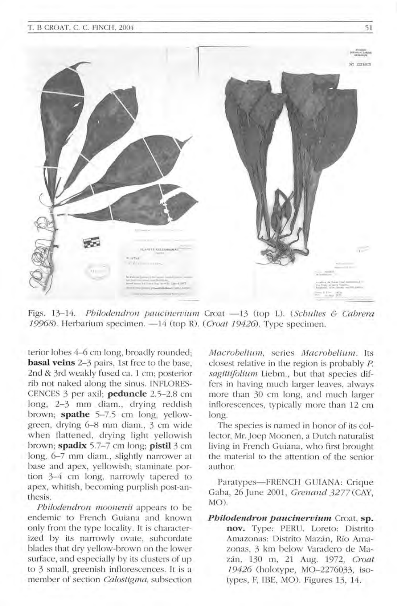

Figs. 13-14. Philodendron paucinervium Croat  $-13$  (top L). (Schultes & Cabrera 19968). Herbarium specimen.  $-14$  (top R). (*Croat 19426*). Type specimen.

terior lobes 4-6 cm long, broadly rounded; **basal veins** 2-3 pairs, 1st free to the base, 2nd & 3rd weakly fused ca. 1 cm; posterior rib not naked along the sinus. INFLORES-CENCES 3 per axil; **peduncle** 2.5-2.8 cm long, 2-3 mm diam., drying reddish brown; **spathe** 5-7.5 cm long, yellowgreen, drying 6-8 mm diam., 3 cm wide when flattened, drying light yellowish brown; **spadix** 5.7-7 cm long; **pistil** 3 cm long, 6-7 mm diam., slightly narrower at base and apex, yellowish; staminate portion  $3-4$  cm long, narrowly tapered to apex, whitish, becoming purplish post-anthesis.

Philodendron moonenii appears to be endemic to French Guiana and known only from the type locality. It is characterized by its narrowly ovate, subcordate blades that dry yellow-brown on the lower surface, and especially by its clusters of up to 3 small, greenish inflorescences. It is a member of section Calostigma, subsection

Macrobelium, series Macrobelium. Its closest relative in the region is probably *P*. sagittifolium Liebm., but that species differs in having much larger leaves, always more than 30 cm long, and much larger inflorescences, typically more than 12 cm long.

The species is named in honor of its collector, Mr. Joep Moonen, a Dutch naturalist living in French Guiana, who first brought the material to the attention of the senior author.

Paratypes-FRENCH GUIANA: Crique Gaba, 26 June 2001, Grenand 3277 (CAY, MO)

## *Philodendron paucinervium* Croat, **sp.**  nov. Type: PERU. Loreto: Distrito Amazonas: Distrito Mazán, Río Amazonas, 3 km below Varadero de Mazán, 130 m, 21 Aug. 1972, Croat 19426 (holotype, MO-2276033, isotypes, F, IBE, MO). Figures 13, 14.

5]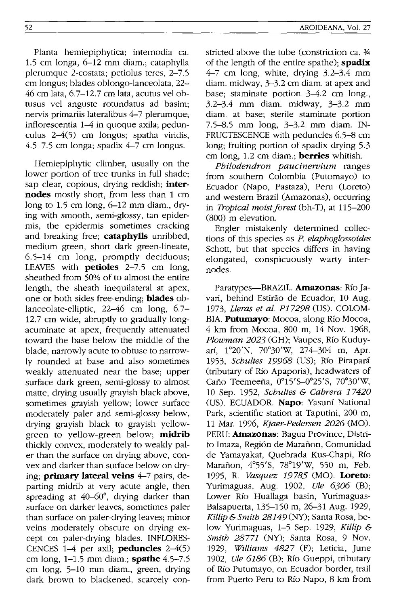Planta hemiepiphytica; internodia ca. 1.5 cm longa, 6-12 mm diam.; cataphylla plerumque 2-costata; petiolus teres, 2-7.5 cm longus; blades oblongo-Ianceolata, 22- 46 cm lata, 6.7-12.7 cm lata, acutus vel obtusus vel anguste rotundatus ad basim; nervis primariis lateralibus 4-7 plerumque; inflorescentia 1-4 in quoque axila; pedunculus 2-4(5) cm longus; spatha viridis, 4.5-7.5 cm longa; spadix 4-7 cm longus.

Hemiepiphytic climber, usually on the lower portion of tree trunks in full shade; sap clear, copious, drying reddish; **internodes** mostly short, from less than 1 cm long to 1.5 cm long, 6–12 mm diam., drying with smooth, semi-glossy, tan epidermis, the epidermis sometimes cracking and breaking free; **cataphyIIs** unribbed, medium green, short dark green-lineate, 6.5-14 cm long, promptly deciduous; LEAVES with **petioles** 2-7.5 cm long, sheathed from 50% of to almost the entire length, the sheath inequilateral at apex, one or both sides free-ending; **blades** oblanceolate-elliptic, 22-46 cm long, 6.7- 12.7 cm wide, abruptly to gradually longacuminate at apex, frequently attenuated toward the base below the middle of the blade, narrowly acute to obtuse to narrowly rounded at base and also sometimes weakly attenuated near the base; upper surface dark green, semi-glossy to almost matte, drying usually grayish black above, sometimes grayish yellow; lower surface moderately paler and semi-glossy below, drying grayish black to grayish yellowgreen to yellow-green below; **midrib**  thickly convex, moderately to weakly paler than the surface on drying above, convex and darker than surface below on drying; **primary lateral veins** 4-7 pairs, departing midrib at very acute angle, then spreading at 40-60°, drying darker than surface on darker leaves, sometimes paler than surface on paler-drying leaves; minor veins moderately obscure on drying except on paler-drying blades. INFLORES-CENCES 1-4 per axil; **peduncles** 2-4(5) cm long, 1-1.5 mm diam.; **spathe** 4.5-7.5 cm long, 5-10 mm diam., green, drying dark brown to blackened, scarcely conAROIDEANA, Vol. 27

stricted above the tube (constriction ca. % of the length of the entire spathe); **spadix**   $4-7$  cm long, white, drying  $3.2-3.4$  mm diam. midway, 3-3.2 cm diam. at apex and base; staminate portion 3-4.2 cm long., 3.2-3.4 mm diam. midway, 3-3.2 mm diam. at base; sterile staminate portion 7.5-S.5 mm long, 3-3.2 mm diam. IN-FRUCTESCENCE with peduncles 6.5-8 cm long; fruiting portion of spadix drying 5.3 cm long, 1.2 cm diam.; **berries** whitish.

*Philodendron paucinervium* ranges from southern Colombia (Putomayo) to Ecuador (Napo, Pastaza), Peru (Loreto) and western Brazil (Amazonas), occurring in *Tropical moist forest* (bh-D, at 115-200 (SOO) m elevation.

Engler mistakenly determined collections of this species as *P. elaphoglossoides*  Schott, but that species differs in having elongated, conspicuously warty internodes.

Paratypes-BRAZIL. **Amazonas:** Rio Javari, behind Estirao de Ecuador, 10 Aug. *1973, Lleras et at. P17298* (US). COLOM-BIA. **Putumayo:** Mocoa, along Rfo Mocoa, 4 km from Mocoa, SOO m, 14 Nov. 1965, *Plowman 2023* (GH); Vaupes, Rfo Kuduyarí, 1°20'N, 70°30'W, 274-304 m, Apr. *1953, Schultes* 19968 (US); Rfo Pirapara (tributary of Rfo Apaporis), headwaters of Caño Teemeeña, 0°15'S-0°25'S, 70°30'W, 10 Sep. 1952, *Schultes* & *Cabrera 17420*  (US). ECUADOR. **Napo:** Yasunf National Park, scientific station at Taputini, 200 m, 11 Mar. 1996, *Kjaer-Pedersen 2026* (MO). PERU: **Amazonas:** Bagua Province, Distrito Imaza, Región de Marañon, Comunidad de Yamayakat, Quebrada Kus-Chapi, Rio Marañon, 4°55'S, 78°19'W, 550 m, Feb. 1995, R. *Vasquez* 19785 (MO). **Loreto:**  Yurimaguas, Aug. 1902, *Ule 6306* (B); Lower Rio Huallaga basin, Yurimaguas-Balsapuerta, 135-150 m, 26-31 Aug. 1929, *Killip* & *Smith* 28149 (NY); Santa Rosa, below Yurimaguas, 1-5 Sep. 1929, *Killip* & *Smith* 28771 (NY); Santa Rosa, 9 Nov. 1929, *Williams* 4827 (F); Leticia, June 1902, *Ule* 6186 (B); Rfo Gueppi, tributary of Rio Putumayo, on Ecuador border, trail from Puerto Peru to Rio Napo, S km from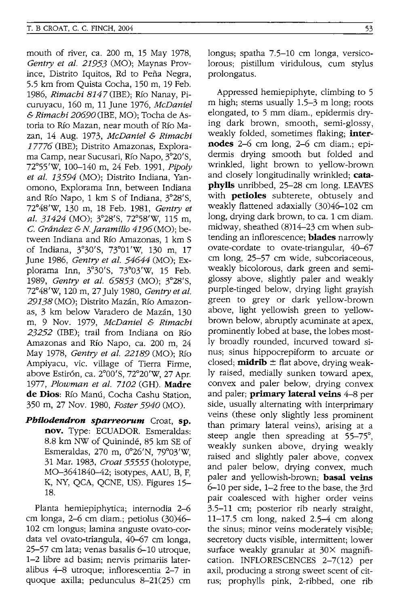mouth of river, ca. 200 m, 15 May 1978, *Gentry et at.* 21953 (MO); Maynas Province, Distrito Iquitos, Rd to Pefia Negra, 5.5 km from Quista Cocha, 150 m, 19 Feb. 1986, *Rimachi* 8147 (lBE); *Rio* Nanay, Picuruyacu, 160 m, 11 June 1976, *McDaniel & Rimachi 20690* (IBE, MO); Tocha de Astoria to Rio Mazan, near mouth of *Rio* Mazan, 14 Aug. 1973, *McDaniel* & *Rimachi*  17776 (IBE); Distrito Amazonas, Explorarna Camp, near Sucusari, *Rio* Napo, 3°20'S, n055'W, 100-140 m, 24 Feb. 1991, *Pipoly et al.* 13594 (MO); Distrito Indiana, Yanomono, Explorama Inn, between Indiana and *Rio* Napo, 1 km S of Indiana, 3°28'S, n048'W, 130 m, 18 Feb. 1981, *Gentry et al.* 31424 (MO); 3°28'S, 72°58'W, 115 m, C. *Grandez* & *N.Jaramillo* 4196(MO); between Indiana and *Rio* Amazonas, 1 km S of Indiana, 3°30'S, 73°01 'w, 130 m, 17 June 1986, *Gentry et al.* 54644 (MO); Explorama Inn, 3°30'S, 73°03'W, 15 Feb. 1989, *Gentry et al.* 65853 (MO); 3°28'S, n048'W, 120 m, 27 July 1980, *Gentry et al.*  29138 (MO); Distrito Mazan, Rio Amazonas, 3 km below Varadero de Mazan, 130 m, 9 Nov. 1979, *McDaniel* & *Rimachi*  23252 (lBE); trail from Indiana on *Rio*  Amazonas and *Rio* Napo, ca. 200 m, 24 May 1978, *Gentry et al.* 22189 (MO); *Rio*  Ampiyacu, vic. village of Tierra Firme, above Estirón, ca. 2°00'S, 72°20'W, 27 Apr. 1977, *Plowman et al. 7102* (GH). **Madre de Dios:** *Rio* Manu, Cocha Cashu Station, 350 m, 27 Nov. 1980, *Foster 5940* (MO).

*Philodendron sparreorum* Croat, **sp. nov.** Type: ECUADOR. Esmeraldas: 8.8 km NW of Quininde, 85 km SE of Esmeraldas, 270 m, 0°26'N, 79°03'W, 31 Mar. 1983, *Croat* 55555 (holotype, M0-3641840-42; isotypes, AAU, B, F, K, NY, QCA, QCNE, US). Figures 15- 18.

Planta hemiepiphytica; internodia 2-6 cm longa, 2-6 cm diam.; petiolus (30)46- 102 cm longus; lamina anguste ovato-cordata vel ovato-triangula, 40-67 cm longa, 25-57 cm lata; venas basalis 6-10 utroque, 1-2 libre ad basim; nervis primariis lateralibus 4-8 utroque; inflorescentia 2-7 in quoque axilla; pedunculus 8-21(25) cm longus; spatha 7.5-10 cm longa, versicolorous; pistillum viridulous, cum stylus prolongatus.

Appressed hemiepiphyte, climbing to 5 m high; stems usually 1.5-3 m long; roots elongated, to 5 mm diam., epidermis drying dark brown, smooth, semi-glossy, weakly folded, sometimes flaking; **internodes** 2-6 cm long, 2-6 cm diam.; epidermis drying smooth but folded and wrinkled, light brown to yellow-brown and closely longitudinally wrinkled; **cataphylls** unribbed, 25-28 cm long. LEAVES with **petioles** subterete, obtusely and weakly flattened adaxially (30)46-102 cm long, drying dark brown, to ca. 1 cm diam. midway, sheathed (8)14-23 cm when subtending an inflorescence; **blades** narrowly ovate-cordate to ovate-triangular, 40-67 cm long, 25-57 cm wide, subcoriaceous, weakly bicolorous, dark green and semiglossy above, slightly paler and weakly purple-tinged below, drying light grayish green to grey or dark yellow-brown above, light yellowish green to yellowbrown below, abruptly acuminate at apex, prominently lobed at base, the lobes mostly broadly rounded, incurved toward sinus; sinus hippocrepiform to arcuate or closed; **midrib**  $\pm$  flat above, drying weakly raised, medially sunken toward apex, convex and paler below, drying convex and paler; **primary lateral veins** 4-8 per side, usually alternating with interprimary veins (these only slightly less prominent than primary lateral veins), arising at a steep angle then spreading at 55-75°, weakly sunken above, drying weakly raised and slightly paler above, convex and paler below, drying convex, much paler and yellowish-brown; **basal veins**  6-10 per side, 1-2 free to the base, the 3rd pair coalesced with higher order veins 3.5-11 cm; posterior rib nearly straight, 11-17.5 cm long, naked 2.5-4 cm along the sinus; minor veins moderately visible; secretory ducts visible, intermittent; lower surface weakly granular at  $30\times$  magnification. INFLORESCENCES 2-7(12) per axil, producing a strong sweet scent of citrus; prophylls pink, 2-ribbed, one rib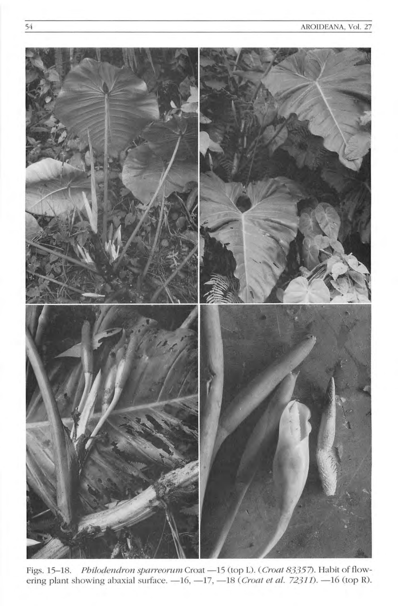

Figs. 15–18. *Philodendron sparreorum* Croat —15 (top L). (*Croat 83357*). Habit of flow-<br>ering plant showing abaxial surface. —16, —17, —18 (*Croat et al. 72311*). —16 (top R).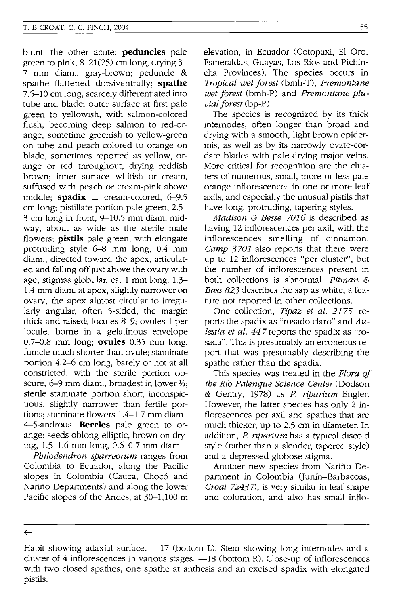blunt, the other acute; **peduncles** pale green to pink,  $8-21(25)$  cm long, drying  $3-$ 7 mm diam., gray-brown; peduncle & spathe flattened dorsiventrally; **spathe**  7.5-10 cm long, scarcely differentiated into tube and blade; outer surface at first pale green to yellowish, with salmon-colored flush, becoming deep salmon to red-orange, sometime greenish to yellow-green on tube and peach-colored to orange on blade, sometimes reported as yellow, orange or red throughout, drying reddish brown; inner surface whitish or cream, suffused with peach or cream-pink above middle; **spadix** ± cream-colored, 6-9.5 cm long; pistillate portion pale green, 2.5- 3 cm long in front, 9-10.5 mm diam. midway, about as wide as the sterile male flowers; **pistils** pale green, with elongate protruding style 6-8 mm long, 0.4 mm diam., directed toward the apex, articulated and falling off just above the ovary with age; stigmas globular, ca. 1 mm long, 1.3- 1.4 mm diam. at apex, slightly narrower on ovary, the apex almost circular to irregularly angular, often 5-sided, the margin thick and raised; locules 8-9; ovules 1 per locule, borne in a gelatinous envelope 0.7-0.8 mm long; **ovules** 0.35 mm long, funicle much shorter than ovule; staminate portion 4.2-6 cm long, barely or not at all constricted, with the sterile portion obscure,  $6-9$  mm diam., broadest in lower  $\frac{1}{3}$ ; sterile staminate portion short, inconspicuous, slightly narrower than fertile portions; staminate flowers 1.4-1.7 mm diam., 4-5-androus. **Berries** pale green to orange; seeds oblong-elliptic, brown on drying, 1.5-1.6 mm long, 0.6-0.7 mm diam.

*Philodendron sparreorum* ranges from Colombia to Ecuador, along the Pacific slopes in Colombia (Cauca, Chocó and Nariño Departments) and along the lower Pacific slopes of the Andes, at 30-1,100 m

elevation, in Ecuador (Cotopaxi, EI Oro, Esmeraldas, Guayas, Los Rios and Pichincha Provinces). The species occurs in *Tropical wet forest* (bmh-T), *Premontane wet forest* (bmh-P) and *Premontane pluvial forest* (bp-P).

The species is recognized by its thick internodes, often longer than broad and drying with a smooth, light brown epidermis, as well as by its narrowly ovate-cordate blades with pale-drying major veins. More critical for recognition are the clusters of numerous, small, more or less pale orange inflorescences in one or more leaf axils, and especially the unusual pistils that have long, protruding, tapering styles.

*Madison* & *Besse 7016* is described as having 12 inflorescences per axil, with the inflorescences smelling of cinnamon. *Camp 3701* also reports that there were up to 12 inflorescences "per cluster", but the number of inflorescences present in both collections is abnormal. *Pitman* & *Bass* 823 describes the sap as white, a feature not reported in other collections.

One collection, *Tipaz et al.* 2175, reports the spadix as "rosado claro" and Au*lestia et al.* 447 reports the spadix as "rosada". This is presumably an erroneous report that was presumably describing the spathe rather than the spadix.

This species was treated in the *Flora of the Rio Palenque Science Center* (Dodson & Gentry, 1978) as *P. riparium* Engler. However, the latter species has only 2 inflorescences per axil and spathes that are much thicker, up to 2.5 cm in diameter. In addition, *P. riparium* has a typical discoid style (rather than a slender, tapered style) and a depressed-globose stigma.

Another new species from Nariño Department in Colombia Qunin-Barbacoas, *Croat* 72437), is very similar in leaf shape and coloration, and also has small inflo-

 $\leftarrow$ 

Habit showing adaxial surface.  $-17$  (bottom L). Stem showing long internodes and a cluster of  $4$  inflorescences in various stages.  $-18$  (bottom R). Close-up of inflorescences with two closed spathes, one spathe at anthesis and an excised spadix with elongated pistils.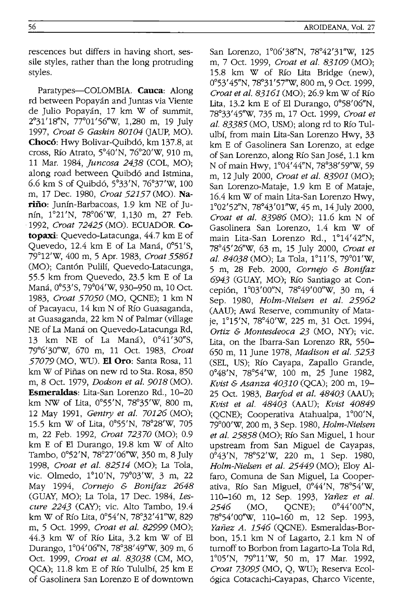rescences but differs in having short, sessile styles, rather than the long protruding styles.

Paratypes-COLOMBIA. Cauca: Along rd between Popayan and Juntas via Viente de Julio Popayan, 17 km W of summit, 2°31'18"N, 77°01'56"w, 1,280 m, 19 July *1997, Croat* & *Gaskin 80104* (JAUP, MO). Chocó: Hwy Bolivar-Quibdó, km 137.8, at cross, Rio Atrato, 5°40'N, 76°20'W, 910 m, 11 Mar. 1984, *Juncosa* 2438 (COL, MO); along road between Quibdó and Istmina, 6.6 km S of Quibdo, 5°33'N, 76°37'W, 100 m, 17 Dec. 1980, *Croat* 52157 (MO). Nariño: Junín-Barbacoas, 1.9 km NE of Junfn, 1°21'N, 78°06'w, 1,130 m, 27 Feb. *1992, Croat* 72425 (MO). ECUADOR. Cotopaxi: Quevedo-Latacunga, 44.7 km E of Quevedo, 12.4 km E of La Maná, 0°51'S, 79°12'W, 400 m, 5 Apr. 1983, *Croat 55861*  (MO); Cantón Pulilí, Quevedo-Latacunga, 55.5 km from Quevedo, 23.5 km E of La Maná, 0°53'S, 79°04'W, 930-950 m, 10 Oct. *1983, Croat 57050* (MO, QCNE); 1 km N of Pacayacu, 14 km N of Rio Guasaganda, at Guasaganda, 22 km N of Palmar (village NE of La Maná on Quevedo-Latacunga Rd, 13 km NE of La Maná),  $0^{\circ}41'30''S$ , 79°6'30''W, 670 m, 11 Oct. 1983, *Croat 57079* (MO, WU). **El** Oro: Santa Rosa, 11 km W of Piñas on new rd to Sta. Rosa, 850 m, 8 Oct. 1979, *Dodson et al. 9018* (MO). Esmeraldas: Lita-San Lorenzo Rd., 10-20 km NW of Lita, 0°55'N, 78°35'W, 800 m, 12 May 1991, *Gentry et al. 70126* (MO); 15.5 km W of Lita, 0°55'N, 78°28'W, 705 m, 22 Feb. 1992, *Croat 72370* (MO); 0.9 km E of EI Durango, 19.8 km W of Alto Tambo, 0°52'N, 78°27'06"W, 350 m, 8 July *1998, Croat et al.* 82514 (MO); La Tola, vic. Olmedo, 1°10'N, 79°03'W, 3 m, 22 May 1994, *Cornejo* & *Bonijaz 2648*  (GUAY, MO); La Tola, 17 Dec. 1984, *Lescure* 2243 (CAY); vic. Alto Tambo, 19.4 km W of Río Lita,  $0^{\circ}54'N$ ,  $78^{\circ}32'41''W$ , 829 m, 5 Oct. 1999, *Croat et al.* 82999 (MO); 44.3 km W of Rio Lita, 3.2 km W of EI Durango, 1°04'06"N, *78°38'* 49"W, 309 m, 6 Oct. 1999, *Croat et al. 83038* (CM, MO, QCA); 11.8 km E of Rfo Tululbf, 25 km E of Gasolinera San Lorenzo E of downtown San Lorenzo, 1°06'38"N, 78°42'31''W, 125 m, 7 Oct. 1999, *Croat et al. 83109* (MO); 15.8 km W of Rio Lita Bridge (new), 0°53'45"N, 78°31'57"W, 800 m, 9 Oct. 1999, *Croatetal.* 83161 (MO); 26.9 km WofRio Lita, 13.2 km E of El Durango,  $0^{\circ}58'06''N$ , 78°33'45''W, 735 m, 17 Oct. 1999, *Croat et al.* 83385 (MO, USM); along rd to Rio Tululbf, from main Lita-San Lorenzo Hwy, 33 km E of Gasolinera San Lorenzo, at edge of San Lorenzo, along Rio San Jose, 1.1 km N of main Hwy, 1°04'44"N, 78°38'59''W, 59 m, 12 July 2000, *Croat et al. 83901* (MO); San Lorenzo-Mataje, 1.9 km E of Mataje, 16.4 km W of main Lita-San Lorenzo Hwy, 1°02'52"N, 78°43'01''W, 45 m, 14 July 2000, *Croat et al.* 83986 (MO); 11.6 km N of Gasolinera San Lorenzo, 1.4 km W of main Lita-San Lorenzo Rd., 1°14'42"N, *78°45'* 26''W, 63 m, 15 July 2000, *Croat et al. 84038* (MO); La Tola, 1°11'S, 79°01'W, 5 m, 28 Feb. 2000, *Cornejo* & *Bonijaz*  6943 (GUAY, MO); Rio Santiago at Concepion, 1°03'00"N, 78°49'00''W, 30 m, 4 Sep. 1980, *Holm-Nielsen et al. 25962*  (AAU); Awa Reserve, community of Mataje, 1°15'N, 78°40'W, 225 m, 31 Oct. 1994, *Ortiz* & *Montesdeoca* 23 (MO, NY); vic. Lita, on the Ibarra-San Lorenzo RR, 550- 650 m, 11 June 1978, *Madison et al. 5253*  (SEL, US); Rio Cayapa, Zapallo Grande, 0°48'N, 78°54'W, 100 m, 25 June 1982, *Kvist* & *Asanza 40310* (QCA); 200 m, 19- 25 Oct. 1983, *Barfod et al. 48403* (AAU); *Kvist et al. 48403* (AAU); *Kvist 40849*  (QCNE); Cooperativa Atahualpa, 1°00'N, 79°00'W, 200 m, 3 Sep. 1980, *Holm-Nielsen et al.* 25858 (MO); Rio San Miguel, 1 hour upstream from San Miguel de Cayapas, 0043'N, 78°52'W, 220 m, 1 Sep. 1980, *Holm-Nielsen et al.* 25449 (MO); Eloy Alfaro, Comuna de San Miguel, La Cooperativa, Río San Miguel,  $0^{\circ}44'$ N, 78°54′W, 110-160 m, 12 Sep. 1993, *Yanez et al.*  2546 (MO, QCNE); 0°44'00"N, 78°54'00''W, 110-160 m, 12 Sep. 1993, *Yanez A.* 1546 (QCNE). Esmeraldas-Borbon, 15.1 km N of Lagarto, 2.1 km N of turnoff to Borbon from Lagarto-La Tola Rd, 1°05'N, 79°11'W, 50 m, 17 Mar. 1992, *Croat 73095* (MO, Q, WU); Reserva Ecologica Cotacachi-Cayapas, Charco Vicente,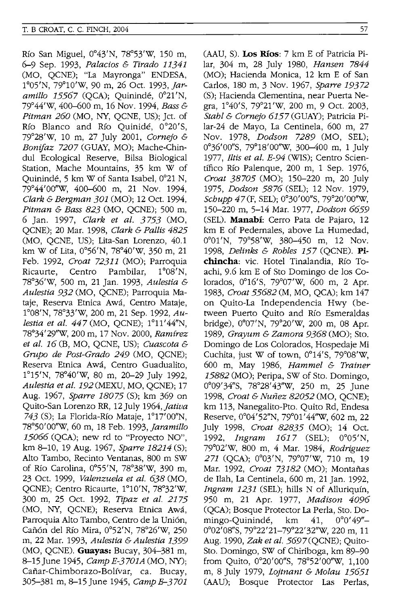Río San Miguel, 0°43'N, 78°53'W, 150 m, 6-9 Sep. 1993, *Palacios* & *Tirado 11341*  (MO, QCNE); "La Mayronga" ENDESA, 1°05'N, 79°10'W, 90 m, 26 Oct. 1993, *Jaramillo 15567* (QCA); Quinindé, 0°21'N, 79°44'W, 400--600 m, 16 Nov. 1994, *Bass* & *Pitman 260* (MO, NY, QCNE, US); Jct. of Río Blanco and Río Ouinidé, 0°20'S, 79°28'W, 10 m, 27 July 2001, *Cornejo* & *Bonijaz 7207* (GUAY, MO); Mache-Chindul Ecological Reserve, Bilsa Biological Station, Mache Mountains, 35 km W of Quininde, 5 km W of Santa Isabel, 0°21 N, 79°44'00"W, 400-600 m, 21 Nov. 1994, *Clark* & *Bergman 301* (MO); 12 Oct. 1994, *Pitman* & *Bass* 823 (MO, QCNE); 500 m, 6 Jan. 1997, *Clark et al.* 3753 (MO, QCNE); 20 Mar. 1998, *Clark* & *Pallis 4825*  (MO, QCNE, US); Lita-San Lorenzo, 40.1 km W of Lita, 0°56'N, 78°40'W, 350 m, 21 Feb. 1992, *Croat* 72311 (MO); Parroquia Ricaurte, Centro Pambilar, 1°08'N, 78°36'w, 500 m, 21 Jan. 1993, *Aulestia* & *Aulestia* 932 (MO, QCNE); Parroquia Mataje, Reserva Etnica Awá, Centro Mataje, 1°08'N, 78°33'W, 200 m, 21 Sep. 1992, *Aulestia et al.* 447 (MO, QCNE); 1°11'44"N, 78°34'29''W, 200 m, 17 Nov. 2000, *Ramirez et al.* 16 (B, MO, QCNE, US); *Cuascota* & *Grupo de Post-Grado* 249 (MO, QCNE); Reserva Etnica Awa, Centro Guadualito, 1°15'N, 78°40'W, 80 m, 20-29 July 1992, *Aulestia et al.* 192 (MEXU, MO, QCNE); 17 Aug. 1967, *Sparre 18075* (S); km 369 on Quito-San Lorenzo RR, 12 July *1964,]ativa*  743 (S); La Florida-Rio Mataje, 1°17'00"N, 78°50'00''W, 60 m, 18 Feb. 1993, *Jaramillo 15066* (QCA); new rd to "Proyecto NO", km 8-10, 19 Aug. 1967, *Sparre* 18214 (S); Alto Tambo, Recinto Ventanas, 800 m SW of Río Carolina, 0°55'N, 78°38'W, 390 m, 23 Oct. 1999, *Valenzuela et al.* 638 (MO, QCNE); Centro Ricaurte, 1°10'N, 78°32'W, 300 m, 25 Oct. 1992, *Tipaz et al. 2175*  (MO, NY, QCNE); Reserva Etnica Awa, Parroquia Alto Tambo, Centro de la Uni6n, Cañón del Río Mira, 0°52'N, 78°26'W, 250 m, 22 Mar. 1993, *Aulestia* & *Aulestia 1399*  (MO, QCNE). **Guayas:** Bucay, 304-381 m, 8-15June 1945, *CampE-3701A(MO,* NY); Cañar-Chimborazo-Bolívar, ca. Bucay, 305-381 m, 8-15 June 1945, Camp E-3701

(AAU, S). **Los Rios:** 7 km E of Patricia Pilar, 304 m, 28 July 1980, *Hansen 7844*  (MO); Hacienda Monica, 12 km E of San Carlos, 180 m, 3 Nov. 1967, *Sparre 19372*  (S); Hacienda Clementina, near Puerta Negra, 1040'S, 79°21'W, 200 m, 9 Oct. 2003, *Stahl* & *Cornejo* 6157 (GUAY); Patricia Pilar-24 de Mayo, La Centinela, 600 m, 27 Nov. 1978, *Dodson* 7289 (MO, SEL); 0°36'00"S, 79°18'00"W, 300-400 m, 1 July *1977, litis et al. E-94* (WIS); Centro Scientffico Rio Palenque, 200 m, 1 Sep. 1976, *Croat 38705* (MO); 150-220 m, 20 July *1975, Dodson* 5876 (SEL); 12 Nov. 1979, *Schupp 47* (F, SEL); 0°30'00"S, 79°20'00"W, 150-220 m, 5-14 Mar. 1977, *Dodson 6659*  (SEL). **Manabi:** Cerro Pata de Pajaro, 12 km E of Pedernales, above La Humedad, OOOl'N, 79°58'W, 380-450 m, 12 Nov. *1998, Delinks* & *Robles* 157 (QCNE). **Pichincha:** vic. Hotel Tinalandia, Rio Toachi, 9.6 km E of Sto Domingo de los Colorados, 0°16'S, 79°07'W, 600 m, 2 Apr. *1983, Croat* 55682 (M, MO, QCA); km 147 on Quito-La Independencia Hwy (between Puerto Quito and Rio Esmeraldas bridge), 0°07'N, 79°20'W, 200 m, 08 Apr. *1989, Grayum* & *Zamora* 9368 (MO); Sto. Domingo de Los Colorados, Hospedaje Mi Cuchita, just W of town,  $0^{\circ}14'$ S, 79°08'W, 600 m, May 1986, *Hammel* & *Trainer*  15882 (MO); Peripa, SW of Sto. Domingo, 0°09' 34"S, 78°28' 43''W, 250 m, 25 June *1998, Croat* & *Nunez 82052* (MO, QCNE); km 113, Nanegalito-Pto. Quito Rd, Endesa Reserve, 0004'52"N, 79°01'44''W, 602 m, 22 July 1998, *Croat* 82835 (MO); 14 Oct. 1992, *Ingram 1617* (SEL); 0°05'N, 79°02'W, 800 m, 4 Mar. 1984, *Rodriguez*  271 (QCA); 0°03'N, 79°07'W, 710 m, 19 Mar. 1992, *Croat 73182* (MO); Montañas de Ilah, La Centinela, 600 m, 21 Jan. 1992, *Ingram* 1231 (SEL); hills N of Alluriquin, 950 m, 21 Apr. 1977, *Madison 4096*  (QCA); Bosque Protector La Perla, Sto. Domingo-Quininde, km 41, 0°0'49"- 0002'08"S, 79°22'21-79°22'32"W, 220 m, 11 Aug. 1990, *Zak et al.* 5697(QCNE); Quito-Sto. Domingo, SW of Chiriboga, km 89-90 from Quito, 0°20'00"S, 78°52'00"W, 1,100 m, 8 July 1979, *Lojtnant* & *Molau 15651*  (AAU); Bosque Protector Las Perlas,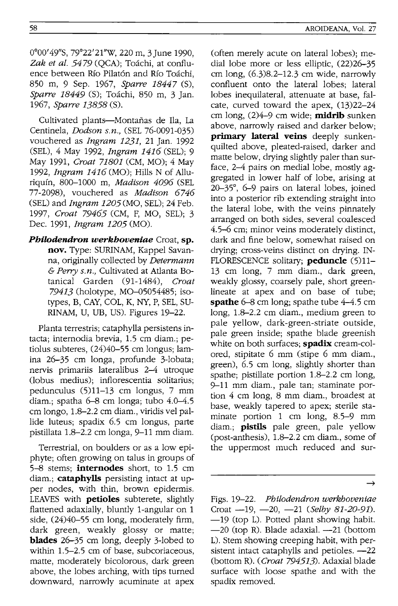0°00' 49"S, 79°22'21''W, 220 m, 3 June 1990, Zak et al. 5479 (OCA): Toáchi, at confluence between Río Pilatón and Río Toáchi, 850 m, 9 Sep. 1967, *Sparre* 18447 (S), *Sparre* 18449 (S); Toachi, 850 m, 3 Jan. *1967, Sparre* 13858 (S).

Cultivated plants--Montañas de Ila, La Centinela, *Dodson s.n.,* (SEL 76-0091-035) vouchered as *Ingram* 1231, 21 Jan. 1992 (SEL) , 4 May 1992, *Ingram* 1416 (SEL); 9 May 1991, *Croat 71801* (CM, MO); 4 May *1992, Ingram* 1416 (MO); Hills N of Alluriqufn, 800-1000 m, *Madison 4096* (SEL 77-2098), vouchered as *Madison 6746*  (SEL) and *Ingram 1205* (MO, SEL); 24 Feb. *1997, Croat* 79465 (CM, F, MO, SEL); 3 Dec. 1991, *Ingram 1205* (MO).

*Philodendron werkhoveniae* Croat, **sp. nov.** Type: SURINAM, Kappel Savanna, originally collected by *Determann*  & *Perry s.n.,* Cultivated at Atlanta Botanical Garden (91-1484), *Croat*  79413 (holotype, M0-05054485; isotypes, B, CAY, COL, K, NY, P, SEL, SU-RINAM, U, UB, US). Figures 19-22.

Planta terrestris; cataphylla persistens intacta; internodia brevia, 1.5 cm diam.; petiolus subteres, (24)40-55 cm longus; lamina 26-35 cm longa, profunde 3-lobata; nervis primariis lateralibus 2-4 utroque (lobus medius); inflorescentia solitarius; pedunculus (5)11-13 cm longus, 7 mm diam.; spatha 6-8 cm longa; tubo 4.0-4.5 cm longo, 1.8-2.2 cm diam., viridis vel pallide luteus; spadix 6.5 cm longus, parte pistillata 1.8-2.2 cm longa, 9-11 mm diam.

Terrestrial, on boulders or as a low epiphyte; often growing on talus in groups of 5-8 stems; **internodes** short, to 1.5 cm diam.; **cataphylls** persisting intact at upper nodes, with thin, brown epidermis. LEAVES with **petioles** subterete, slightly flattened adaxially, bluntly I-angular on 1 side, (24)40-55 cm long, moderately firm, dark green, weakly glossy or matte; **blades** 26-35 cm long, deeply 3-lobed to within 1.5–2.5 cm of base, subcoriaceous, matte, moderately bicolorous, dark green above, the lobes arching, with tips turned downward, narrowly acuminate at apex

(often merely acute on lateral lobes); medial lobe more or less elliptic, (22)26-35 cm long, (6.3)8.2-12.3 cm wide, narrowly confluent onto the lateral lobes; lateral lobes inequilateral, attenuate at base, falcate, curved toward the apex, (13)22-24 cm long, (2)4-9 cm wide; **midrib** sunken above, narrowly raised and darker below; **primary lateral veins** deeply sunkenquilted above, pleated-raised, darker and matte below, drying slightly paler than surface, 2-4 pairs on medial lobe, mostly aggregated in lower half of lobe, arising at 20-35°, 6-9 pairs on lateral lobes, joined into a posterior rib extending straight into the lateral lobe, with the veins pinnately arranged on both sides, several coalesced 4.5-6 cm; minor veins moderately distinct, dark and fine below, somewhat raised on drying; cross-veins distinct on drying. IN-FLORESCENCE solitary; **peduncle** (5)11- 13 cm long, 7 mm diam., dark green, weakly glossy, coarsely pale, short greenlineate at apex and on base of tube; **spathe** 6–8 cm long; spathe tube 4–4.5 cm long, 1.8-2.2 cm diam., medium green to pale yellow, dark-green-striate outside, pale green inside; spathe blade greenish white on both surfaces; **spadix** cream-colored, stipitate 6 mm (stipe 6 mm diam., green), 6.5 cm long, slightly shorter than spathe; pistillate portion 1.8-2.2 cm long, 9-11 mm diam., pale tan; staminate portion 4 cm long, 8 mm diam., broadest at base, weakly tapered to apex; sterile staminate portion 1 cm long, 8.5-9 mm diam.; **pistils** pale green, pale yellow (post-anthesis), 1.8-2.2 cm diam., some of the uppermost much reduced and sur-

 $\rightarrow$ 

Figs. 19-22. *Philodendron werkhoveniae*  Croat -19, -20, -21 *(Selby 81-20-91)*. -19 (top L). Potted plant showing habit. -20 (top R). Blade adaxial. -21 (bottom L). Stem showing creeping habit, with persistent intact cataphylls and petioles.  $-22$ (bottom R). *(Croat* 794513). Adaxial blade surface with loose spathe and with the spadix removed.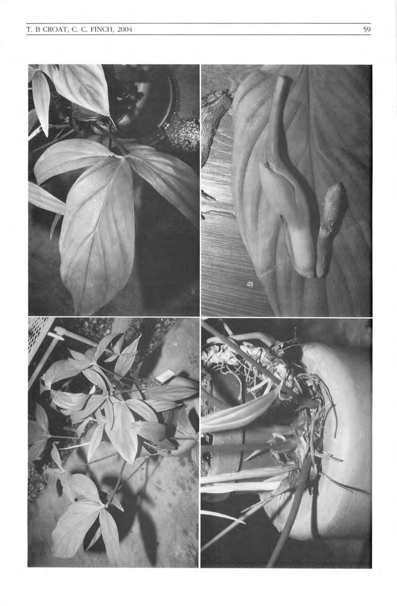